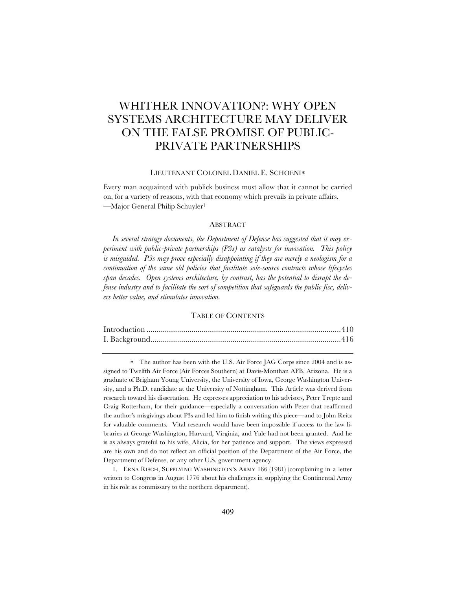# WHITHER INNOVATION?: WHY OPEN SYSTEMS ARCHITECTURE MAY DELIVER ON THE FALSE PROMISE OF PUBLIC-PRIVATE PARTNERSHIPS

#### LIEUTENANT COLONEL DANIEL E. SCHOENI\*

Every man acquainted with publick business must allow that it cannot be carried on, for a variety of reasons, with that economy which prevails in private affairs. —Major General Philip Schuyler1

# ABSTRACT

*In several strategy documents, the Department of Defense has suggested that it may experiment with public-private partnerships (P3s) as catalysts for innovation. This policy*  is misguided. P3s may prove especially disappointing if they are merely a neologism for a *continuation of the same old policies that facilitate sole-source contracts whose lifecycles span decades. Open systems architecture, by contrast, has the potential to disrupt the defense industry and to facilitate the sort of competition that safeguards the public fisc, delivers better value, and stimulates innovation.*

# TABLE OF CONTENTS

\* The author has been with the U.S. Air Force JAG Corps since 2004 and is assigned to Twelfth Air Force (Air Forces Southern) at Davis-Monthan AFB, Arizona. He is a graduate of Brigham Young University, the University of Iowa, George Washington University, and a Ph.D. candidate at the University of Nottingham. This Article was derived from research toward his dissertation. He expresses appreciation to his advisors, Peter Trepte and Craig Rotterham, for their guidance—especially a conversation with Peter that reaffirmed the author's misgivings about P3s and led him to finish writing this piece—and to John Reitz for valuable comments. Vital research would have been impossible if access to the law libraries at George Washington, Harvard, Virginia, and Yale had not been granted. And he is as always grateful to his wife, Alicia, for her patience and support. The views expressed are his own and do not reflect an official position of the Department of the Air Force, the Department of Defense, or any other U.S. government agency.

1. ERNA RISCH, SUPPLYING WASHINGTON'S ARMY 166 (1981) (complaining in a letter written to Congress in August 1776 about his challenges in supplying the Continental Army in his role as commissary to the northern department).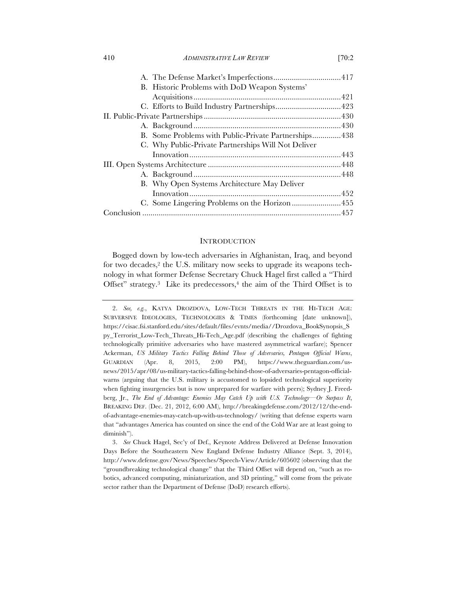| B. Historic Problems with DoD Weapon Systems'        |  |
|------------------------------------------------------|--|
|                                                      |  |
|                                                      |  |
|                                                      |  |
|                                                      |  |
| B. Some Problems with Public-Private Partnerships438 |  |
| C. Why Public-Private Partnerships Will Not Deliver  |  |
|                                                      |  |
|                                                      |  |
|                                                      |  |
| B. Why Open Systems Architecture May Deliver         |  |
|                                                      |  |
|                                                      |  |
|                                                      |  |

## **INTRODUCTION**

Bogged down by low-tech adversaries in Afghanistan, Iraq, and beyond for two decades,<sup>2</sup> the U.S. military now seeks to upgrade its weapons technology in what former Defense Secretary Chuck Hagel first called a "Third Offset" strategy.<sup>3</sup> Like its predecessors,<sup>4</sup> the aim of the Third Offset is to

<sup>2.</sup> *See, e.g.*, KATYA DROZDOVA, LOW-TECH THREATS IN THE HI-TECH AGE: SUBVERSIVE IDEOLOGIES, TECHNOLOGIES & TIMES (forthcoming [date unknown]), https://cisac.fsi.stanford.edu/sites/default/files/evnts/media//Drozdova\_BookSynopsis\_S py\_Terrorist\_Low-Tech\_Threats\_Hi-Tech\_Age.pdf (describing the challenges of fighting technologically primitive adversaries who have mastered asymmetrical warfare); Spencer Ackerman, *US Military Tactics Falling Behind Those of Adversaries, Pentagon Official Warns*, GUARDIAN (Apr. 8, 2015, 2:00 PM), https://www.theguardian.com/usnews/2015/apr/08/us-military-tactics-falling-behind-those-of-adversaries-pentagon-officialwarns (arguing that the U.S. military is accustomed to lopsided technological superiority when fighting insurgencies but is now unprepared for warfare with peers); Sydney J. Freedberg, Jr., *The End of Advantage: Enemies May Catch Up with U.S. Technology—Or Surpass It*, BREAKING DEF. (Dec. 21, 2012, 6:00 AM), http://breakingdefense.com/2012/12/the-endof-advantage-enemies-may-catch-up-with-us-technology/ (writing that defense experts warn that "advantages America has counted on since the end of the Cold War are at least going to diminish").

<sup>3.</sup> *See* Chuck Hagel, Sec'y of Def., Keynote Address Delivered at Defense Innovation Days Before the Southeastern New England Defense Industry Alliance (Sept. 3, 2014), http://www.defense.gov/News/Speeches/Speech-View/Article/605602 (observing that the "groundbreaking technological change" that the Third Offset will depend on, "such as robotics, advanced computing, miniaturization, and 3D printing," will come from the private sector rather than the Department of Defense (DoD) research efforts).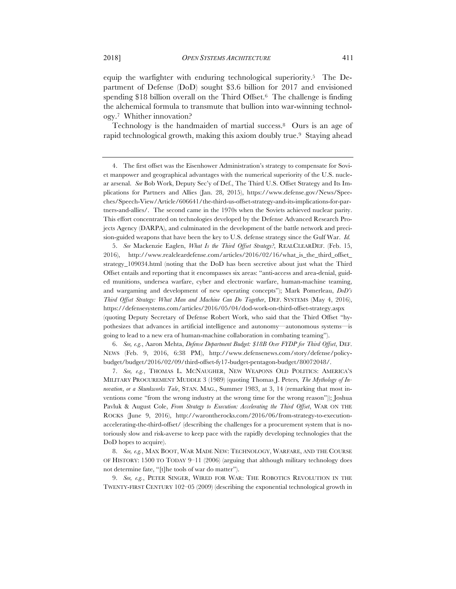equip the warfighter with enduring technological superiority.5 The Department of Defense (DoD) sought \$3.6 billion for 2017 and envisioned spending \$18 billion overall on the Third Offset.6 The challenge is finding the alchemical formula to transmute that bullion into war-winning technology.7 Whither innovation?

Technology is the handmaiden of martial success.8 Ours is an age of rapid technological growth, making this axiom doubly true.<sup>9</sup> Staying ahead

5. *See* Mackenzie Eaglen, *What Is the Third Offset Strategy?*, REALCLEARDEF. (Feb. 15, 2016), http://www.realcleardefense.com/articles/2016/02/16/what\_is\_the\_third\_offset\_ strategy\_109034.html (noting that the DoD has been secretive about just what the Third Offset entails and reporting that it encompasses six areas: "anti-access and area-denial, guided munitions, undersea warfare, cyber and electronic warfare, human-machine teaming, and wargaming and development of new operating concepts"); Mark Pomerleau, *DoD's Third Offset Strategy: What Man and Machine Can Do Together*, DEF. SYSTEMS (May 4, 2016), https://defensesystems.com/articles/2016/05/04/dod-work-on-third-offset-strategy.aspx (quoting Deputy Secretary of Defense Robert Work, who said that the Third Offset "hypothesizes that advances in artificial intelligence and autonomy—autonomous systems—is going to lead to a new era of human-machine collaboration in combating teaming").

6. *See, e.g.*, Aaron Mehta, *Defense Department Budget: \$18B Over FYDP for Third Offset*, DEF. NEWS (Feb. 9, 2016, 6:38 PM), http://www.defensenews.com/story/defense/policybudget/budget/2016/02/09/third-offset-fy17-budget-pentagon-budget/80072048/.

7. *See, e.g.*, THOMAS L. MCNAUGHER, NEW WEAPONS OLD POLITICS: AMERICA'S MILITARY PROCUREMENT MUDDLE 3 (1989) (quoting Thomas J. Peters*, The Mythology of Innovation*, *or a Skunkworks Tale*, STAN. MAG., Summer 1983, at 3, 14 (remarking that most inventions come "from the wrong industry at the wrong time for the wrong reason")); Joshua Pavluk & August Cole, *From Strategy to Execution: Accelerating the Third Offset*, WAR ON THE ROCKS (June 9, 2016), http://warontherocks.com/2016/06/from-strategy-to-executionaccelerating-the-third-offset/ (describing the challenges for a procurement system that is notoriously slow and risk-averse to keep pace with the rapidly developing technologies that the DoD hopes to acquire).

8. *See, e.g.*, MAX BOOT, WAR MADE NEW: TECHNOLOGY, WARFARE, AND THE COURSE OF HISTORY: 1500 TO TODAY 9–11 (2006) (arguing that although military technology does not determine fate, "[t]he tools of war do matter").

9. *See, e.g.*, PETER SINGER, WIRED FOR WAR: THE ROBOTICS REVOLUTION IN THE TWENTY-FIRST CENTURY 102–05 (2009) (describing the exponential technological growth in

<sup>4.</sup> The first offset was the Eisenhower Administration's strategy to compensate for Soviet manpower and geographical advantages with the numerical superiority of the U.S. nuclear arsenal. *See* Bob Work, Deputy Sec'y of Def., The Third U.S. Offset Strategy and Its Implications for Partners and Allies (Jan. 28, 2015), https://www.defense.gov/News/Speeches/Speech-View/Article/606641/the-third-us-offset-strategy-and-its-implications-for-partners-and-allies/. The second came in the 1970s when the Soviets achieved nuclear parity. This effort concentrated on technologies developed by the Defense Advanced Research Projects Agency (DARPA), and culminated in the development of the battle network and precision-guided weapons that have been the key to U.S. defense strategy since the Gulf War. *Id.*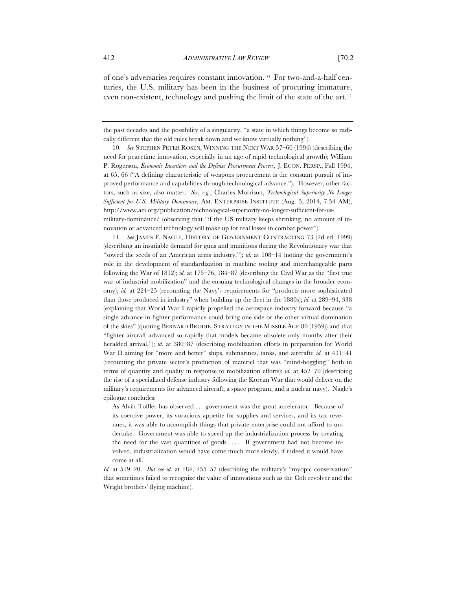of one's adversaries requires constant innovation.10 For two-and-a-half centuries, the U.S. military has been in the business of procuring immature, even non-existent, technology and pushing the limit of the state of the art.11

the past decades and the possibility of a singularity, "a state in which things become so radically different that the old rules break down and we know virtually nothing").

10. *See* STEPHEN PETER ROSEN, WINNING THE NEXT WAR 57–60 (1994) (describing the need for peacetime innovation, especially in an age of rapid technological growth); William P. Rogerson, *Economic Incentives and the Defense Procurement Process*, J. ECON. PERSP., Fall 1994, at 65, 66 ("A defining characteristic of weapons procurement is the constant pursuit of improved performance and capabilities through technological advance."). However, other factors, such as size, also matter. *See, e.g.*, Charles Morrison, *Technological Superiority No Longer Sufficient for U.S. Military Dominance*, AM. ENTERPRISE INSTITUTE (Aug. 5, 2014, 7:54 AM), http://www.aei.org/publication/technological-superiority-no-longer-sufficient-for-usmilitary-dominance/ (observing that "if the US military keeps shrinking, no amount of innovation or advanced technology will make up for real losses in combat power").

11. *See* JAMES F. NAGLE, HISTORY OF GOVERNMENT CONTRACTING 73 (2d ed. 1999) (describing an insatiable demand for guns and munitions during the Revolutionary war that "sowed the seeds of an American arms industry."); *id.* at 108–14 (noting the government's role in the development of standardization in machine tooling and interchangeable parts following the War of 1812); *id.* at 175–76, 184–87 (describing the Civil War as the "first true war of industrial mobilization" and the ensuing technological changes in the broader economy); *id.* at 224–25 (recounting the Navy's requirements for "products more sophisticated than those produced in industry" when building up the fleet in the 1880s); *id.* at 289–94, 338 (explaining that World War I rapidly propelled the aerospace industry forward because "a single advance in fighter performance could bring one side or the other virtual domination of the skies" (quoting BERNARD BRODIE, STRATEGY IN THE MISSILE AGE 80 (1959)) and that "fighter aircraft advanced so rapidly that models became obsolete only months after their heralded arrival."); *id.* at 380–87 (describing mobilization efforts in preparation for World War II aiming for "more and better" ships, submarines, tanks, and aircraft); *id.* at 431–41 (recounting the private sector's production of materiel that was "mind-boggling" both in terms of quantity and quality in response to mobilization efforts); *id.* at 452–70 (describing the rise of a specialized defense industry following the Korean War that would deliver on the military's requirements for advanced aircraft, a space program, and a nuclear navy). Nagle's epilogue concludes:

As Alvin Toffler has observed . . . government was the great accelerator. Because of its coercive power, its voracious appetite for supplies and services, and its tax revenues, it was able to accomplish things that private enterprise could not afford to undertake. Government was able to speed up the industrialization process by creating the need for the vast quantities of goods .... If government had not become involved, industrialization would have come much more slowly, if indeed it would have come at all.

*Id.* at 519–20. *But see id.* at 184, 255–57 (describing the military's "myopic conservatism" that sometimes failed to recognize the value of innovations such as the Colt revolver and the Wright brothers' flying machine).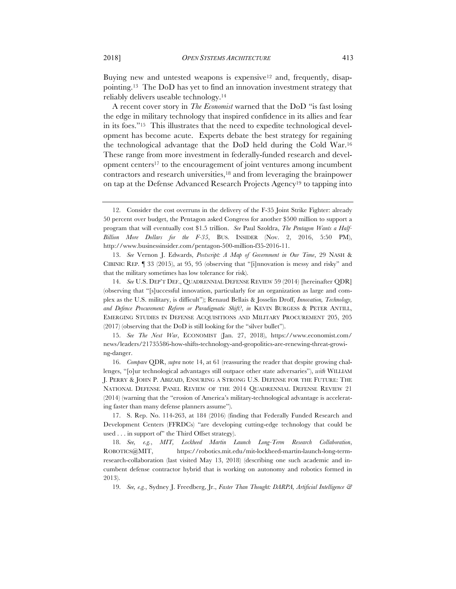Buying new and untested weapons is expensive<sup>12</sup> and, frequently, disappointing.13 The DoD has yet to find an innovation investment strategy that reliably delivers useable technology.14

A recent cover story in *The Economist* warned that the DoD "is fast losing the edge in military technology that inspired confidence in its allies and fear in its foes."15 This illustrates that the need to expedite technological development has become acute. Experts debate the best strategy for regaining the technological advantage that the DoD held during the Cold War.16 These range from more investment in federally-funded research and development centers17 to the encouragement of joint ventures among incumbent contractors and research universities,18 and from leveraging the brainpower on tap at the Defense Advanced Research Projects Agency19 to tapping into

13. *See* Vernon J. Edwards, *Postscript: A Map of Government in Our Time*, 29 NASH & CIBINIC REP. ¶ 33 (2015), at 95, 95 (observing that "[i]nnovation is messy and risky" and that the military sometimes has low tolerance for risk).

14. *See* U.S. DEP'T DEF., QUADRENNIAL DEFENSE REVIEW 59 (2014) [hereinafter QDR] (observing that "[s]uccessful innovation, particularly for an organization as large and complex as the U.S. military, is difficult"); Renaud Bellais & Josselin Droff, *Innovation, Technology, and Defence Procurement: Reform or Paradigmatic Shift?*, *in* KEVIN BURGESS & PETER ANTILL, EMERGING STUDIES IN DEFENSE ACQUISITIONS AND MILITARY PROCUREMENT 205, 205 (2017) (observing that the DoD is still looking for the "silver bullet").

15. *See The Next War*, ECONOMIST (Jan. 27, 2018), https://www.economist.com/ news/leaders/21735586-how-shifts-technology-and-geopolitics-are-renewing-threat-growing-danger.

16. *Compare* QDR, *supra* note 14, at 61 (reassuring the reader that despite growing challenges, "[o]ur technological advantages still outpace other state adversaries"), *with* WILLIAM J. PERRY & JOHN P. ABIZAID, ENSURING A STRONG U.S. DEFENSE FOR THE FUTURE: THE NATIONAL DEFENSE PANEL REVIEW OF THE 2014 QUADRENNIAL DEFENSE REVIEW 21 (2014) (warning that the "erosion of America's military-technological advantage is accelerating faster than many defense planners assume").

17. S. Rep. No. 114-263, at 184 (2016) (finding that Federally Funded Research and Development Centers (FFRDCs) "are developing cutting-edge technology that could be used . . . in support of" the Third Offset strategy).

18. *See, e.g.*, *MIT, Lockheed Martin Launch Long-Term Research Collaboration*, ROBOTICS@MIT, https://robotics.mit.edu/mit-lockheed-martin-launch-long-termresearch-collaboration (last visited May 13, 2018) (describing one such academic and incumbent defense contractor hybrid that is working on autonomy and robotics formed in 2013).

19. *See, e.g.*, Sydney J. Freedberg, Jr., *Faster Than Thought: DARPA, Artificial Intelligence &* 

<sup>12.</sup> Consider the cost overruns in the delivery of the F-35 Joint Strike Fighter: already 50 percent over budget, the Pentagon asked Congress for another \$500 million to support a program that will eventually cost \$1.5 trillion. *See* Paul Szoldra, *The Pentagon Wants a Half-Billion More Dollars for the F-35*, BUS. INSIDER (Nov. 2, 2016, 5:50 PM), http://www.businessinsider.com/pentagon-500-million-f35-2016-11.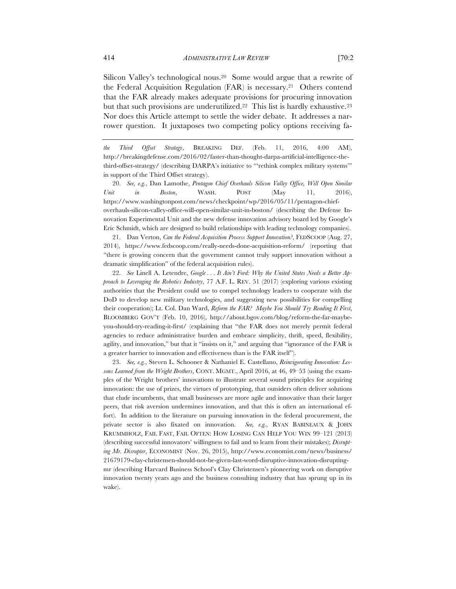Silicon Valley's technological nous.<sup>20</sup> Some would argue that a rewrite of the Federal Acquisition Regulation (FAR) is necessary.21 Others contend that the FAR already makes adequate provisions for procuring innovation but that such provisions are underutilized.<sup>22</sup> This list is hardly exhaustive.<sup>23</sup> Nor does this Article attempt to settle the wider debate. It addresses a narrower question. It juxtaposes two competing policy options receiving fa-

20. *See, e.g.*, Dan Lamothe, *Pentagon Chief Overhauls Silicon Valley Office, Will Open Similar Unit in Boston*, WASH. POST (May 11, 2016), https://www.washingtonpost.com/news/checkpoint/wp/2016/05/11/pentagon-chiefoverhauls-silicon-valley-office-will-open-similar-unit-in-boston/ (describing the Defense Innovation Experimental Unit and the new defense innovation advisory board led by Google's Eric Schmidt, which are designed to build relationships with leading technology companies).

21. Dan Verton, *Can the Federal Acquisition Process Support Innovation?*, FEDSCOOP (Aug. 27, 2014), https://www.fedscoop.com/really-needs-done-acquisition-reform/ (reporting that "there is growing concern that the government cannot truly support innovation without a dramatic simplification" of the federal acquisition rules).

22. *See* Linell A. Letendre, *Google . . . It Ain't Ford: Why the United States Needs a Better Approach to Leveraging the Robotics Industry*, 77 A.F. L. REV. 51 (2017) (exploring various existing authorities that the President could use to compel technology leaders to cooperate with the DoD to develop new military technologies, and suggesting new possibilities for compelling their cooperation); Lt. Col. Dan Ward, *Reform the FAR? Maybe You Should Try Reading It First*, BLOOMBERG GOV'T (Feb. 10, 2016), http://about.bgov.com/blog/reform-the-far-maybeyou-should-try-reading-it-first/ (explaining that "the FAR does not merely permit federal agencies to reduce administrative burden and embrace simplicity, thrift, speed, flexibility, agility, and innovation," but that it "insists on it," and arguing that "ignorance of the FAR is a greater barrier to innovation and effectiveness than is the FAR itself").

23. *See, e.g.*, Steven L. Schooner & Nathaniel E. Castellano, *Reinvigorating Innovation: Lessons Learned from the Wright Brothers*, CONT. MGMT., April 2016, at 46, 49–53 (using the examples of the Wright brothers' innovations to illustrate several sound principles for acquiring innovation: the use of prizes, the virtues of prototyping, that outsiders often deliver solutions that elude incumbents, that small businesses are more agile and innovative than their larger peers, that risk aversion undermines innovation, and that this is often an international effort). In addition to the literature on pursuing innovation in the federal procurement, the private sector is also fixated on innovation. *See, e.g.*, RYAN BABINEAUX & JOHN KRUMMHOLZ, FAIL FAST, FAIL OFTEN: HOW LOSING CAN HELP YOU WIN 99–121 (2013) (describing successful innovators' willingness to fail and to learn from their mistakes); *Disrupting Mr. Disrupter*, ECONOMIST (Nov. 26, 2015), http://www.economist.com/news/business/ 21679179-clay-christensen-should-not-be-given-last-word-disruptive-innovation-disruptingmr (describing Harvard Business School's Clay Christensen's pioneering work on disruptive innovation twenty years ago and the business consulting industry that has sprung up in its wake).

*the Third Offset Strategy*, BREAKING DEF. (Feb. 11, 2016, 4:00 AM), http://breakingdefense.com/2016/02/faster-than-thought-darpa-artificial-intelligence-thethird-offset-strategy/ (describing DARPA's initiative to "'rethink complex military systems'" in support of the Third Offset strategy).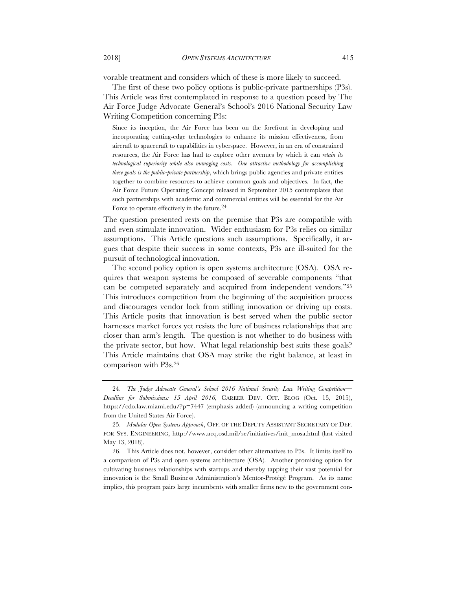vorable treatment and considers which of these is more likely to succeed.

The first of these two policy options is public-private partnerships (P3s). This Article was first contemplated in response to a question posed by The Air Force Judge Advocate General's School's 2016 National Security Law Writing Competition concerning P3s:

Since its inception, the Air Force has been on the forefront in developing and incorporating cutting-edge technologies to enhance its mission effectiveness, from aircraft to spacecraft to capabilities in cyberspace. However, in an era of constrained resources, the Air Force has had to explore other avenues by which it can *retain its technological superiority while also managing costs. One attractive methodology for accomplishing these goals is the public-private partnership*, which brings public agencies and private entities together to combine resources to achieve common goals and objectives. In fact, the Air Force Future Operating Concept released in September 2015 contemplates that such partnerships with academic and commercial entities will be essential for the Air Force to operate effectively in the future.24

The question presented rests on the premise that P3s are compatible with and even stimulate innovation. Wider enthusiasm for P3s relies on similar assumptions. This Article questions such assumptions. Specifically, it argues that despite their success in some contexts, P3s are ill-suited for the pursuit of technological innovation.

The second policy option is open systems architecture (OSA). OSA requires that weapon systems be composed of severable components "that can be competed separately and acquired from independent vendors."25 This introduces competition from the beginning of the acquisition process and discourages vendor lock from stifling innovation or driving up costs. This Article posits that innovation is best served when the public sector harnesses market forces yet resists the lure of business relationships that are closer than arm's length. The question is not whether to do business with the private sector, but how. What legal relationship best suits these goals? This Article maintains that OSA may strike the right balance, at least in comparison with P3s.26

<sup>24.</sup> *The Judge Advocate General's School 2016 National Security Law Writing Competition–– Deadline for Submissions: 15 April 2016*, CAREER DEV. OFF. BLOG (Oct. 15, 2015), https://cdo.law.miami.edu/?p=7447 (emphasis added) (announcing a writing competition from the United States Air Force).

<sup>25.</sup> *Modular Open Systems Approach*, OFF. OF THE DEPUTY ASSISTANT SECRETARY OF DEF. FOR SYS. ENGINEERING, http://www.acq.osd.mil/se/initiatives/init\_mosa.html (last visited May 13, 2018).

<sup>26.</sup> This Article does not, however, consider other alternatives to P3s. It limits itself to a comparison of P3s and open systems architecture (OSA). Another promising option for cultivating business relationships with startups and thereby tapping their vast potential for innovation is the Small Business Administration's Mentor-Protégé Program. As its name implies, this program pairs large incumbents with smaller firms new to the government con-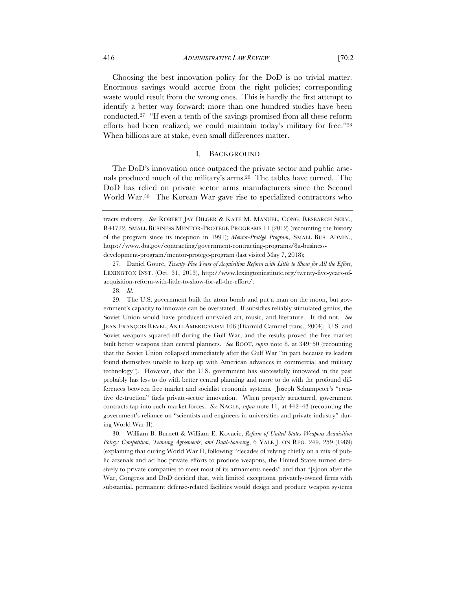Choosing the best innovation policy for the DoD is no trivial matter. Enormous savings would accrue from the right policies; corresponding waste would result from the wrong ones. This is hardly the first attempt to identify a better way forward; more than one hundred studies have been conducted.27 "If even a tenth of the savings promised from all these reform efforts had been realized, we could maintain today's military for free."28 When billions are at stake, even small differences matter.

# I. BACKGROUND

The DoD's innovation once outpaced the private sector and public arsenals produced much of the military's arms.29 The tables have turned. The DoD has relied on private sector arms manufacturers since the Second World War.30 The Korean War gave rise to specialized contractors who

27. Daniel Gouré, *Twenty-Five Years of Acquisition Reform with Little to Show for All the Effort*, LEXINGTON INST. (Oct. 31, 2013), http://www.lexingtoninstitute.org/twenty-five-years-ofacquisition-reform-with-little-to-show-for-all-the-effort/.

28. *Id.*

29. The U.S. government built the atom bomb and put a man on the moon, but government's capacity to innovate can be overstated. If subsidies reliably stimulated genius, the Soviet Union would have produced unrivaled art, music, and literature. It did not. *See*  JEAN-FRANÇOIS REVEL, ANTI-AMERICANISM 106 (Diarmid Cammel trans., 2004). U.S. and Soviet weapons squared off during the Gulf War, and the results proved the free market built better weapons than central planners. *See* BOOT, *supra* note 8, at 349–50 (recounting that the Soviet Union collapsed immediately after the Gulf War "in part because its leaders found themselves unable to keep up with American advances in commercial and military technology"). However, that the U.S. government has successfully innovated in the past probably has less to do with better central planning and more to do with the profound differences between free market and socialist economic systems. Joseph Schumpeter's "creative destruction" fuels private-sector innovation. When properly structured, government contracts tap into such market forces. *See* NAGLE, *supra* note 11, at 442–43 (recounting the government's reliance on "scientists and engineers in universities and private industry" during World War II).

30. William B. Burnett & William E. Kovacic, *Reform of United States Weapons Acquisition Policy: Competition, Teaming Agreements, and Dual-Sourcing*, 6 YALE J. ON REG. 249, 259 (1989) (explaining that during World War II, following "decades of relying chiefly on a mix of public arsenals and ad hoc private efforts to produce weapons, the United States turned decisively to private companies to meet most of its armaments needs" and that "[s]oon after the War, Congress and DoD decided that, with limited exceptions, privately-owned firms with substantial, permanent defense-related facilities would design and produce weapon systems

tracts industry. *See* ROBERT JAY DILGER & KATE M. MANUEL, CONG. RESEARCH SERV., R41722, SMALL BUSINESS MENTOR-PROTEGE PROGRAMS 11 (2012) (recounting the history of the program since its inception in 1991); *Mentor-Protégé Program*, SMALL BUS. ADMIN., https://www.sba.gov/contracting/government-contracting-programs/8a-businessdevelopment-program/mentor-protege-program (last visited May 7, 2018);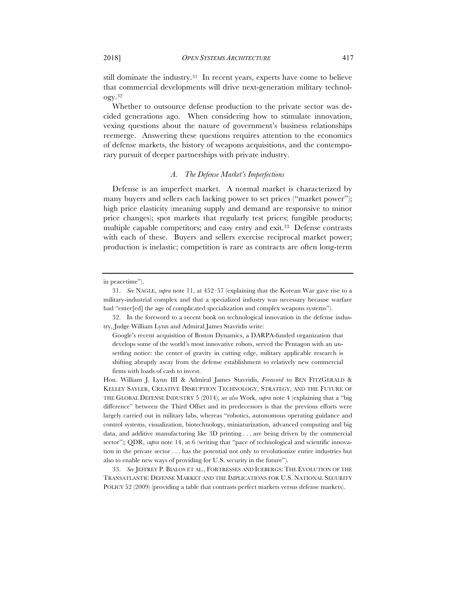still dominate the industry.<sup>31</sup> In recent years, experts have come to believe that commercial developments will drive next-generation military technology.32

Whether to outsource defense production to the private sector was decided generations ago. When considering how to stimulate innovation, vexing questions about the nature of government's business relationships reemerge. Answering these questions requires attention to the economics of defense markets, the history of weapons acquisitions, and the contemporary pursuit of deeper partnerships with private industry.

# *A. The Defense Market's Imperfections*

Defense is an imperfect market. A normal market is characterized by many buyers and sellers each lacking power to set prices ("market power"); high price elasticity (meaning supply and demand are responsive to minor price changes); spot markets that regularly test prices; fungible products; multiple capable competitors; and easy entry and exit.33 Defense contrasts with each of these. Buyers and sellers exercise reciprocal market power; production is inelastic; competition is rare as contracts are often long-term

in peacetime").

<sup>31.</sup> *See* NAGLE, *supra* note 11, at 452–57 (explaining that the Korean War gave rise to a military-industrial complex and that a specialized industry was necessary because warfare had "enter[ed] the age of complicated specialization and complex weapons systems").

<sup>32.</sup> In the foreword to a recent book on technological innovation in the defense industry, Judge William Lynn and Admiral James Stavridis write:

Google's recent acquisition of Boston Dynamics, a DARPA-funded organization that develops some of the world's most innovative robots, served the Pentagon with an unsettling notice: the center of gravity in cutting edge, military applicable research is shifting abruptly away from the defense establishment to relatively new commercial firms with loads of cash to invest.

Hon. William J. Lynn III & Admiral James Stavridis, *Foreword* to BEN FITZGERALD & KELLEY SAYLER, CREATIVE DISRUPTION TECHNOLOGY, STRATEGY, AND THE FUTURE OF THE GLOBAL DEFENSE INDUSTRY 5 (2014); *see also* Work, *supra* note 4 (explaining that a "big difference" between the Third Offset and its predecessors is that the previous efforts were largely carried out in military labs, whereas "robotics, autonomous operating guidance and control systems, visualization, biotechnology, miniaturization, advanced computing and big data, and additive manufacturing like 3D printing . . . are being driven by the commercial sector"); QDR, *supra* note 14, at 6 (writing that "pace of technological and scientific innovation in the private sector . . . has the potential not only to revolutionize entire industries but also to enable new ways of providing for U.S. security in the future").

<sup>33.</sup> *See* JEFFREY P. BIALOS ET AL., FORTRESSES AND ICEBERGS: THE EVOLUTION OF THE TRANSATLANTIC DEFENSE MARKET AND THE IMPLICATIONS FOR U.S. NATIONAL SECURITY POLICY 52 (2009) (providing a table that contrasts perfect markets versus defense markets).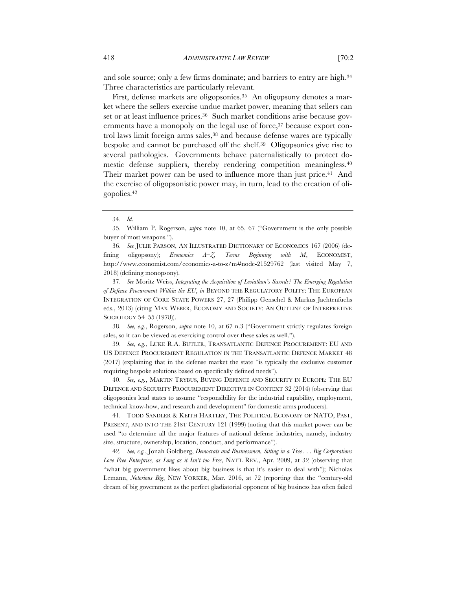and sole source; only a few firms dominate; and barriers to entry are high.<sup>34</sup> Three characteristics are particularly relevant.

First, defense markets are oligopsonies.35 An oligopsony denotes a market where the sellers exercise undue market power, meaning that sellers can set or at least influence prices.<sup>36</sup> Such market conditions arise because governments have a monopoly on the legal use of force,<sup>37</sup> because export control laws limit foreign arms sales,<sup>38</sup> and because defense wares are typically bespoke and cannot be purchased off the shelf.39 Oligopsonies give rise to several pathologies. Governments behave paternalistically to protect domestic defense suppliers, thereby rendering competition meaningless.40 Their market power can be used to influence more than just price.<sup>41</sup> And the exercise of oligopsonistic power may, in turn, lead to the creation of oligopolies.42

36. *See* JULIE PARSON, AN ILLUSTRATED DICTIONARY OF ECONOMICS 167 (2006) (defining oligopsony); *Economics A–Z, Terms Beginning with M*, ECONOMIST, http://www.economist.com/economics-a-to-z/m#node-21529762 (last visited May 7, 2018) (defining monopsony).

37. *See* Moritz Weiss, *Integrating the Acquisition of Leviathan's Swords? The Emerging Regulation of Defence Procurement Within the EU*, *in* BEYOND THE REGULATORY POLITY: THE EUROPEAN INTEGRATION OF CORE STATE POWERS 27, 27 (Philipp Genschel & Markus Jachtenfuchs eds., 2013) (citing MAX WEBER, ECONOMY AND SOCIETY: AN OUTLINE OF INTERPRETIVE SOCIOLOGY 54–55 (1978)).

38. *See, e.g.*, Rogerson, *supra* note 10, at 67 n.3 ("Government strictly regulates foreign sales, so it can be viewed as exercising control over these sales as well.").

39. *See, e.g.*, LUKE R.A. BUTLER, TRANSATLANTIC DEFENCE PROCUREMENT: EU AND US DEFENCE PROCUREMENT REGULATION IN THE TRANSATLANTIC DEFENCE MARKET 48 (2017) (explaining that in the defense market the state "is typically the exclusive customer requiring bespoke solutions based on specifically defined needs").

40. *See, e.g.*, MARTIN TRYBUS, BUYING DEFENCE AND SECURITY IN EUROPE: THE EU DEFENCE AND SECURITY PROCUREMENT DIRECTIVE IN CONTEXT 32 (2014) (observing that oligopsonies lead states to assume "responsibility for the industrial capability, employment, technical know-how, and research and development" for domestic arms producers).

41. TODD SANDLER & KEITH HARTLEY, THE POLITICAL ECONOMY OF NATO, PAST, PRESENT, AND INTO THE 21ST CENTURY 121 (1999) (noting that this market power can be used "to determine all the major features of national defense industries, namely, industry size, structure, ownership, location, conduct, and performance").

42. *See, e.g.*, Jonah Goldberg, *Democrats and Businessmen, Sitting in a Tree . . . Big Corporations Love Free Enterprise, as Long as it Isn't too Free*, NAT'L REV., Apr. 2009, at 32 (observing that "what big government likes about big business is that it's easier to deal with"); Nicholas Lemann, *Notorious Big*, NEW YORKER, Mar. 2016, at 72 (reporting that the "century-old dream of big government as the perfect gladiatorial opponent of big business has often failed

<sup>34.</sup> *Id.*

<sup>35.</sup> William P. Rogerson, *supra* note 10, at 65, 67 ("Government is the only possible buyer of most weapons.").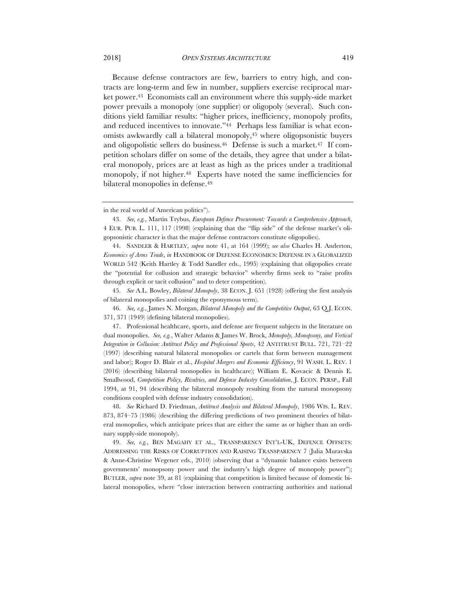Because defense contractors are few, barriers to entry high, and contracts are long-term and few in number, suppliers exercise reciprocal market power.<sup>43</sup> Economists call an environment where this supply-side market power prevails a monopoly (one supplier) or oligopoly (several). Such conditions yield familiar results: "higher prices, inefficiency, monopoly profits, and reduced incentives to innovate."44 Perhaps less familiar is what economists awkwardly call a bilateral monopoly,<sup>45</sup> where oligopsonistic buyers and oligopolistic sellers do business.46 Defense is such a market.47 If competition scholars differ on some of the details, they agree that under a bilateral monopoly, prices are at least as high as the prices under a traditional monopoly, if not higher.<sup>48</sup> Experts have noted the same inefficiencies for bilateral monopolies in defense.49

45. *See* A.L. Bowley, *Bilateral Monopoly*, 38 ECON. J. 651 (1928) (offering the first analysis of bilateral monopolies and coining the eponymous term).

46. *See, e.g.*, James N. Morgan, *Bilateral Monopoly and the Competitive Output*, 63 Q.J. ECON. 371, 371 (1949) (defining bilateral monopolies).

47. Professional healthcare, sports, and defense are frequent subjects in the literature on dual monopolies. *See, e.g.*, Walter Adams & James W. Brock, *Monopoly, Monopsony, and Vertical Integration in Collusion: Antitrust Policy and Professional Sports*, 42 ANTITRUST BULL. 721, 721–22 (1997) (describing natural bilateral monopolies or cartels that form between management and labor); Roger D. Blair et al., *Hospital Mergers and Economic Efficiency*, 91 WASH. L. REV. 1 (2016) (describing bilateral monopolies in healthcare); William E. Kovacic & Dennis E. Smallwood, *Competition Policy, Rivalries, and Defense Industry Consolidation*, J. ECON. PERSP., Fall 1994, at 91, 94 (describing the bilateral monopoly resulting from the natural monopsony conditions coupled with defense industry consolidation).

48. *See* Richard D. Friedman, *Antitrust Analysis and Bilateral Monopoly*, 1986 WIS. L. REV. 873, 874–75 (1986) (describing the differing predictions of two prominent theories of bilateral monopolies, which anticipate prices that are either the same as or higher than an ordinary supply-side monopoly).

49. *See, e.g.*, BEN MAGAHY ET AL., TRANSPARENCY INT'L-UK, DEFENCE OFFSETS: ADDRESSING THE RISKS OF CORRUPTION AND RAISING TRANSPARENCY 7 (Julia Muravska & Anne-Christine Wegener eds., 2010) (observing that a "dynamic balance exists between governments' monopsony power and the industry's high degree of monopoly power"); BUTLER, *supra* note 39, at 81 (explaining that competition is limited because of domestic bilateral monopolies, where "close interaction between contracting authorities and national

in the real world of American politics").

<sup>43.</sup> *See, e.g.*, Martin Trybus, *European Defence Procurement: Towards a Comprehensive Approach*, 4 EUR. PUB. L. 111, 117 (1998) (explaining that the "flip side" of the defense market's oligopsonistic character is that the major defense contractors constitute oligopolies).

<sup>44.</sup> SANDLER & HARTLEY, *supra* note 41, at 164 (1999); *see also* Charles H. Anderton, *Economics of Arms Trade*, *in* HANDBOOK OF DEFENSE ECONOMICS: DEFENSE IN A GLOBALIZED WORLD 542 (Keith Hartley & Todd Sandler eds., 1995) (explaining that oligopolies create the "potential for collusion and strategic behavior" whereby firms seek to "raise profits through explicit or tacit collusion" and to deter competition).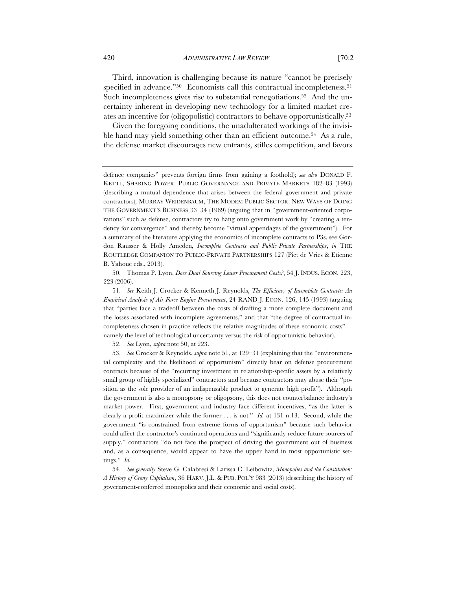Third, innovation is challenging because its nature "cannot be precisely specified in advance."<sup>50</sup> Economists call this contractual incompleteness.<sup>51</sup> Such incompleteness gives rise to substantial renegotiations.52 And the uncertainty inherent in developing new technology for a limited market creates an incentive for (oligopolistic) contractors to behave opportunistically.53

Given the foregoing conditions, the unadulterated workings of the invisible hand may yield something other than an efficient outcome.<sup>54</sup> As a rule, the defense market discourages new entrants, stifles competition, and favors

50. Thomas P. Lyon, *Does Dual Sourcing Lower Procurement Costs?*, 54 J. INDUS. ECON. 223, 223 (2006).

51. *See* Keith J. Crocker & Kenneth J. Reynolds, *The Efficiency of Incomplete Contracts: An Empirical Analysis of Air Force Engine Procurement*, 24 RAND J. ECON. 126, 145 (1993) (arguing that "parties face a tradeoff between the costs of drafting a more complete document and the losses associated with incomplete agreements," and that "the degree of contractual incompleteness chosen in practice reflects the relative magnitudes of these economic costs" namely the level of technological uncertainty versus the risk of opportunistic behavior).

52. *See* Lyon, *supra* note 50, at 223.

53. *See* Crocker & Reynolds, *supra* note 51, at 129–31 (explaining that the "environmental complexity and the likelihood of opportunism" directly bear on defense procurement contracts because of the "recurring investment in relationship-specific assets by a relatively small group of highly specialized" contractors and because contractors may abuse their "position as the sole provider of an indispensable product to generate high profit"). Although the government is also a monopsony or oligopsony, this does not counterbalance industry's market power. First, government and industry face different incentives, "as the latter is clearly a profit maximizer while the former . . . is not." *Id.* at 131 n.13. Second, while the government "is constrained from extreme forms of opportunism" because such behavior could affect the contractor's continued operations and "significantly reduce future sources of supply," contractors "do not face the prospect of driving the government out of business and, as a consequence, would appear to have the upper hand in most opportunistic settings." *Id.*

54. *See generally* Steve G. Calabresi & Larissa C. Leibowitz, *Monopolies and the Constitution: A History of Crony Capitalism*, 36 HARV. J.L. & PUB. POL'Y 983 (2013) (describing the history of government-conferred monopolies and their economic and social costs).

defence companies" prevents foreign firms from gaining a foothold); *see also* DONALD F. KETTL, SHARING POWER: PUBLIC GOVERNANCE AND PRIVATE MARKETS 182–83 (1993) (describing a mutual dependence that arises between the federal government and private contractors); MURRAY WEIDENBAUM, THE MODEM PUBLIC SECTOR: NEW WAYS OF DOING THE GOVERNMENT'S BUSINESS 33–34 (1969) (arguing that in "government-oriented corporations" such as defense, contractors try to hang onto government work by "creating a tendency for convergence" and thereby become "virtual appendages of the government"). For a summary of the literature applying the economics of incomplete contracts to P3s, see Gordon Rausser & Holly Ameden*, Incomplete Contracts and Public-Private Partnerships*, *in* THE ROUTLEDGE COMPANION TO PUBLIC-PRIVATE PARTNERSHIPS 127 (Piet de Vries & Etienne B. Yahoue eds., 2013).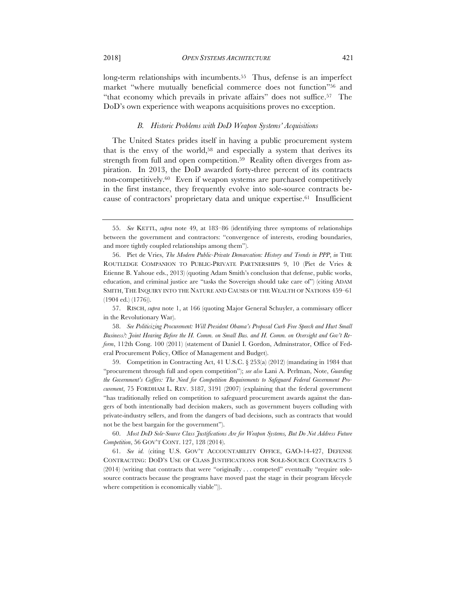long-term relationships with incumbents.<sup>55</sup> Thus, defense is an imperfect market "where mutually beneficial commerce does not function"56 and "that economy which prevails in private affairs" does not suffice.57 The DoD's own experience with weapons acquisitions proves no exception.

# *B. Historic Problems with DoD Weapon Systems' Acquisitions*

The United States prides itself in having a public procurement system that is the envy of the world,<sup>58</sup> and especially a system that derives its strength from full and open competition.<sup>59</sup> Reality often diverges from aspiration. In 2013, the DoD awarded forty-three percent of its contracts non-competitively.60 Even if weapon systems are purchased competitively in the first instance, they frequently evolve into sole-source contracts because of contractors' proprietary data and unique expertise.61 Insufficient

57. RISCH, *supra* note 1, at 166 (quoting Major General Schuyler, a commissary officer in the Revolutionary War).

58. *See Politicizing Procurement: Will President Obama's Proposal Curb Free Speech and Hurt Small Business?: Joint Hearing Before the H. Comm. on Small Bus. and H. Comm. on Oversight and Gov't Reform*, 112th Cong. 100 (2011) (statement of Daniel I. Gordon, Adminstrator, Office of Federal Procurement Policy, Office of Management and Budget).

59. Competition in Contracting Act, 41 U.S.C. § 253(a) (2012) (mandating in 1984 that "procurement through full and open competition"); *see also* Lani A. Perlman, Note, *Guarding the Government's Coffers: The Need for Competition Requirements to Safeguard Federal Government Procurement*, 75 FORDHAM L. REV. 3187, 3191 (2007) (explaining that the federal government "has traditionally relied on competition to safeguard procurement awards against the dangers of both intentionally bad decision makers, such as government buyers colluding with private-industry sellers, and from the dangers of bad decisions, such as contracts that would not be the best bargain for the government").

60. *Most DoD Sole-Source Class Justifications Are for Weapon Systems, But Do Not Address Future Competition*, 56 GOV'T CONT. 127, 128 (2014).

61. *See id.* (citing U.S. GOV'T ACCOUNTABILITY OFFICE, GAO-14-427, DEFENSE CONTRACTING: DOD'S USE OF CLASS JUSTIFICATIONS FOR SOLE-SOURCE CONTRACTS 5 (2014) (writing that contracts that were "originally . . . competed" eventually "require solesource contracts because the programs have moved past the stage in their program lifecycle where competition is economically viable")).

<sup>55.</sup> *See* KETTL, *supra* note 49, at 183–86 (identifying three symptoms of relationships between the government and contractors: "convergence of interests, eroding boundaries, and more tightly coupled relationships among them").

<sup>56.</sup> Piet de Vries, *The Modern Public-Private Demarcation: History and Trends in PPP*, *in* THE ROUTLEDGE COMPANION TO PUBLIC-PRIVATE PARTNERSHIPS 9, 10 (Piet de Vries & Etienne B. Yahoue eds., 2013) (quoting Adam Smith's conclusion that defense, public works, education, and criminal justice are "tasks the Sovereign should take care of") (citing ADAM SMITH, THE INQUIRY INTO THE NATURE AND CAUSES OF THE WEALTH OF NATIONS 459–61 (1904 ed.) (1776)).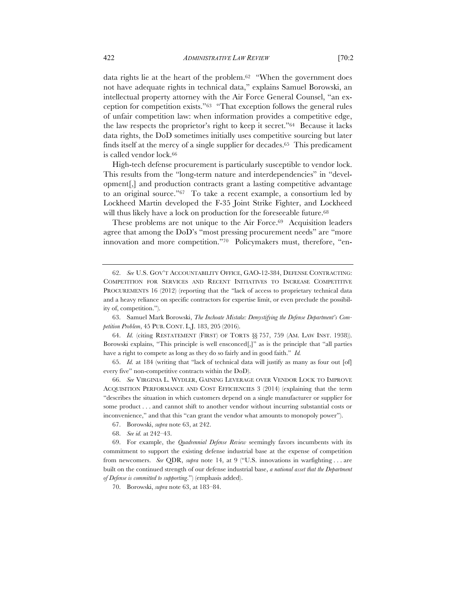data rights lie at the heart of the problem.62 "When the government does not have adequate rights in technical data," explains Samuel Borowski, an intellectual property attorney with the Air Force General Counsel, "an exception for competition exists."63 "That exception follows the general rules of unfair competition law: when information provides a competitive edge, the law respects the proprietor's right to keep it secret."64 Because it lacks data rights, the DoD sometimes initially uses competitive sourcing but later finds itself at the mercy of a single supplier for decades.65 This predicament is called vendor lock.<sup>66</sup>

High-tech defense procurement is particularly susceptible to vendor lock. This results from the "long-term nature and interdependencies" in "development[,] and production contracts grant a lasting competitive advantage to an original source."67 To take a recent example, a consortium led by Lockheed Martin developed the F-35 Joint Strike Fighter, and Lockheed will thus likely have a lock on production for the foreseeable future.<sup>68</sup>

These problems are not unique to the Air Force.<sup>69</sup> Acquisition leaders agree that among the DoD's "most pressing procurement needs" are "more innovation and more competition."70 Policymakers must, therefore, "en-

64. *Id.* (citing RESTATEMENT (FIRST) OF TORTS §§ 757, 759 (AM. LAW INST. 1938)). Borowski explains, "This principle is well ensconced[,]" as is the principle that "all parties have a right to compete as long as they do so fairly and in good faith." *Id.*

65. *Id.* at 184 (writing that "lack of technical data will justify as many as four out [of] every five" non-competitive contracts within the DoD).

66. *See* VIRGINIA L. WYDLER, GAINING LEVERAGE OVER VENDOR LOCK TO IMPROVE ACQUISITION PERFORMANCE AND COST EFFICIENCIES 3 (2014) (explaining that the term "describes the situation in which customers depend on a single manufacturer or supplier for some product . . . and cannot shift to another vendor without incurring substantial costs or inconvenience," and that this "can grant the vendor what amounts to monopoly power").

67. Borowski, *supra* note 63, at 242.

68. *See id.* at 242–43.

69. For example, the *Quadrennial Defense Review* seemingly favors incumbents with its commitment to support the existing defense industrial base at the expense of competition from newcomers. *See* QDR, *supra* note 14, at 9 ("U.S. innovations in warfighting . . . are built on the continued strength of our defense industrial base, *a national asset that the Department of Defense is committed to supporting*.") (emphasis added).

70. Borowski, *supra* note 63, at 183–84.

<sup>62.</sup> *See* U.S. GOV'T ACCOUNTABILITY OFFICE, GAO-12-384, DEFENSE CONTRACTING: COMPETITION FOR SERVICES AND RECENT INITIATIVES TO INCREASE COMPETITIVE PROCUREMENTS 16 (2012) (reporting that the "lack of access to proprietary technical data and a heavy reliance on specific contractors for expertise limit, or even preclude the possibility of, competition.").

<sup>63.</sup> Samuel Mark Borowski, *The Inchoate Mistake: Demystifying the Defense Department's Competition Problem*, 45 PUB. CONT. L.J. 183, 205 (2016).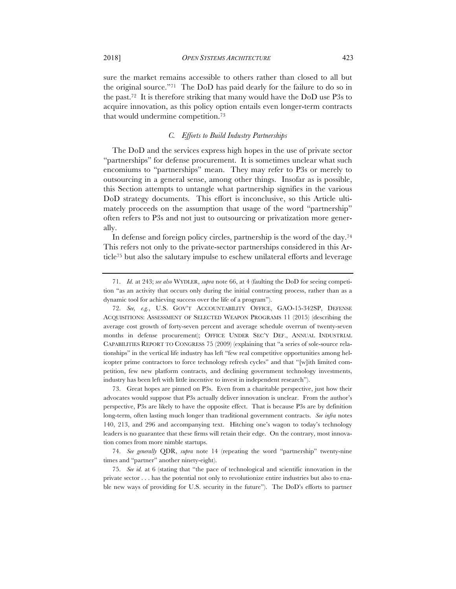sure the market remains accessible to others rather than closed to all but the original source."71 The DoD has paid dearly for the failure to do so in the past.72 It is therefore striking that many would have the DoD use P3s to acquire innovation, as this policy option entails even longer-term contracts that would undermine competition.73

# *C. Efforts to Build Industry Partnerships*

The DoD and the services express high hopes in the use of private sector "partnerships" for defense procurement. It is sometimes unclear what such encomiums to "partnerships" mean. They may refer to P3s or merely to outsourcing in a general sense, among other things. Insofar as is possible, this Section attempts to untangle what partnership signifies in the various DoD strategy documents. This effort is inconclusive, so this Article ultimately proceeds on the assumption that usage of the word "partnership" often refers to P3s and not just to outsourcing or privatization more generally.

In defense and foreign policy circles, partnership is the word of the day.74 This refers not only to the private-sector partnerships considered in this Article75 but also the salutary impulse to eschew unilateral efforts and leverage

<sup>71.</sup> *Id.* at 243; *see also* WYDLER, *supra* note 66, at 4 (faulting the DoD for seeing competition "as an activity that occurs only during the initial contracting process, rather than as a dynamic tool for achieving success over the life of a program").

<sup>72.</sup> *See, e.g.*, U.S. GOV'T ACCOUNTABILITY OFFICE, GAO-15-342SP, DEFENSE ACQUISITIONS: ASSESSMENT OF SELECTED WEAPON PROGRAMS 11 (2015) (describing the average cost growth of forty-seven percent and average schedule overrun of twenty-seven months in defense procurement); OFFICE UNDER SEC'Y DEF., ANNUAL INDUSTRIAL CAPABILITIES REPORT TO CONGRESS 75 (2009) (explaining that "a series of sole-source relationships" in the vertical life industry has left "few real competitive opportunities among helicopter prime contractors to force technology refresh cycles" and that "[w]ith limited competition, few new platform contracts, and declining government technology investments, industry has been left with little incentive to invest in independent research").

<sup>73.</sup> Great hopes are pinned on P3s. Even from a charitable perspective, just how their advocates would suppose that P3s actually deliver innovation is unclear. From the author's perspective, P3s are likely to have the opposite effect. That is because P3s are by definition long-term, often lasting much longer than traditional government contracts. *See infra* notes 140, 213, and 296 and accompanying text. Hitching one's wagon to today's technology leaders is no guarantee that these firms will retain their edge. On the contrary, most innovation comes from more nimble startups.

<sup>74.</sup> *See generally* QDR, *supra* note 14 (repeating the word "partnership" twenty-nine times and "partner" another ninety-eight).

<sup>75.</sup> *See id.* at 6 (stating that "the pace of technological and scientific innovation in the private sector . . . has the potential not only to revolutionize entire industries but also to enable new ways of providing for U.S. security in the future"). The DoD's efforts to partner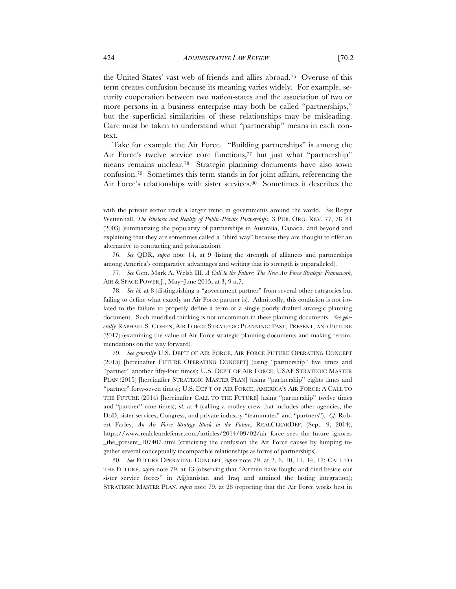the United States' vast web of friends and allies abroad.76 Overuse of this term creates confusion because its meaning varies widely. For example, security cooperation between two nation-states and the association of two or more persons in a business enterprise may both be called "partnerships," but the superficial similarities of these relationships may be misleading. Care must be taken to understand what "partnership" means in each context.

Take for example the Air Force. "Building partnerships" is among the Air Force's twelve service core functions,77 but just what "partnership" means remains unclear.78 Strategic planning documents have also sown confusion.79 Sometimes this term stands in for joint affairs, referencing the Air Force's relationships with sister services.<sup>80</sup> Sometimes it describes the

76. *See* QDR, *supra* note 14, at 9 (listing the strength of alliances and partnerships among America's comparative advantages and writing that its strength is unparalleled).

77. *See* Gen. Mark A. Welsh III, *A Call to the Future: The New Air Force Strategic Framework*, AIR & SPACE POWER J., May–June 2015, at 3, 9 n.7.

78. *See id.* at 8 (distinguishing a "government partner" from several other categories but failing to define what exactly an Air Force partner is). Admittedly, this confusion is not isolated to the failure to properly define a term or a single poorly-drafted strategic planning document. Such muddled thinking is not uncommon in these planning documents. *See generally* RAPHAEL S. COHEN, AIR FORCE STRATEGIC PLANNING: PAST, PRESENT, AND FUTURE (2017) (examining the value of Air Force strategic planning documents and making recommendations on the way forward).

79. *See generally* U.S. DEP'T OF AIR FORCE, AIR FORCE FUTURE OPERATING CONCEPT (2015) [hereinafter FUTURE OPERATING CONCEPT] (using "partnership" five times and "partner" another fifty-four times); U.S. DEP'T OF AIR FORCE, USAF STRATEGIC MASTER PLAN (2015) [hereinafter STRATEGIC MASTER PLAN] (using "partnership" eights times and "partner" forty-seven times); U.S. DEP'T OF AIR FORCE, AMERICA'S AIR FORCE: A CALL TO THE FUTURE (2014) [hereinafter CALL TO THE FUTURE] (using "partnership" twelve times and "partner" nine times); *id.* at 4 (calling a motley crew that includes other agencies, the DoD, sister services, Congress, and private industry "teammates" and "partners"). *Cf.* Robert Farley, *An Air Force Strategy Stuck in the Future*, REALCLEARDEF. (Sept. 9, 2014), https://www.realcleardefense.com/articles/2014/09/02/air\_force\_sees\_the\_future\_ignores \_the\_present\_107407.html (criticizing the confusion the Air Force causes by lumping together several conceptually incompatible relationships as forms of partnerships).

80. *See* FUTURE OPERATING CONCEPT, *supra* note 79, at 2, 6, 10, 11, 14, 17; CALL TO THE FUTURE, *supra* note 79, at 13 (observing that "Airmen have fought and died beside our sister service forces" in Afghanistan and Iraq and attained the lasting integration); STRATEGIC MASTER PLAN, *supra* note 79, at 28 (reporting that the Air Force works best in

with the private sector track a larger trend in governments around the world. *See* Roger Wettenhall, *The Rhetoric and Reality of Public-Private Partnerships*, 3 PUB. ORG. REV. 77, 78–81 (2003) (summarizing the popularity of partnerships in Australia, Canada, and beyond and explaining that they are sometimes called a "third way" because they are thought to offer an alternative to contracting and privatization).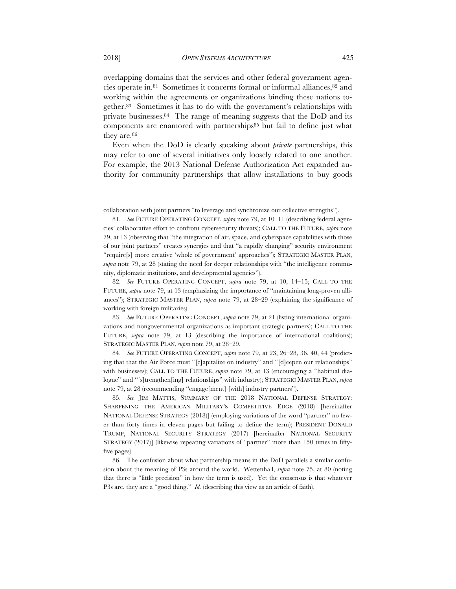overlapping domains that the services and other federal government agencies operate in.81 Sometimes it concerns formal or informal alliances,82 and working within the agreements or organizations binding these nations together.83 Sometimes it has to do with the government's relationships with private businesses.84 The range of meaning suggests that the DoD and its components are enamored with partnerships<sup>85</sup> but fail to define just what they are.<sup>86</sup>

Even when the DoD is clearly speaking about *private* partnerships, this may refer to one of several initiatives only loosely related to one another. For example, the 2013 National Defense Authorization Act expanded authority for community partnerships that allow installations to buy goods

collaboration with joint partners "to leverage and synchronize our collective strengths").

<sup>81.</sup> *See* FUTURE OPERATING CONCEPT, *supra* note 79, at 10–11 (describing federal agencies' collaborative effort to confront cybersecurity threats); CALL TO THE FUTURE, *supra* note 79, at 13 (observing that "the integration of air, space, and cyberspace capabilities with those of our joint partners" creates synergies and that "a rapidly changing" security environment "require[s] more creative 'whole of government' approaches"); STRATEGIC MASTER PLAN, supra note 79, at 28 (stating the need for deeper relationships with "the intelligence community, diplomatic institutions, and developmental agencies").

<sup>82.</sup> *See* FUTURE OPERATING CONCEPT, *supra* note 79, at 10, 14–15; CALL TO THE FUTURE, *supra* note 79, at 13 (emphasizing the importance of "maintaining long-proven alliances"); STRATEGIC MASTER PLAN, *supra* note 79, at 28–29 (explaining the significance of working with foreign militaries).

<sup>83.</sup> *See* FUTURE OPERATING CONCEPT, *supra* note 79, at 21 (listing international organizations and nongovernmental organizations as important strategic partners); CALL TO THE FUTURE, *supra* note 79, at 13 (describing the importance of international coalitions); STRATEGIC MASTER PLAN, *supra* note 79, at 28–29.

<sup>84.</sup> *See* FUTURE OPERATING CONCEPT, *supra* note 79, at 23, 26–28, 36, 40, 44 (predicting that that the Air Force must "[c]apitalize on industry" and "[d]eepen our relationships" with businesses); CALL TO THE FUTURE, *supra* note 79, at 13 (encouraging a "habitual dialogue" and "[s]trengthen[ing] relationships" with industry); STRATEGIC MASTER PLAN, *supra* note 79, at 28 (recommending "engage[ment] [with] industry partners").

<sup>85.</sup> *See* JIM MATTIS, SUMMARY OF THE 2018 NATIONAL DEFENSE STRATEGY: SHARPENING THE AMERICAN MILITARY'S COMPETITIVE EDGE (2018) [hereinafter NATIONAL DEFENSE STRATEGY (2018)] (employing variations of the word "partner" no fewer than forty times in eleven pages but failing to define the term); PRESIDENT DONALD TRUMP, NATIONAL SECURITY STRATEGY (2017) [hereinafter NATIONAL SECURITY STRATEGY (2017)] (likewise repeating variations of "partner" more than 150 times in fiftyfive pages).

<sup>86.</sup> The confusion about what partnership means in the DoD parallels a similar confusion about the meaning of P3s around the world. Wettenhall, *supra* note 75, at 80 (noting that there is "little precision" in how the term is used). Yet the consensus is that whatever P3s are, they are a "good thing." *Id.* (describing this view as an article of faith).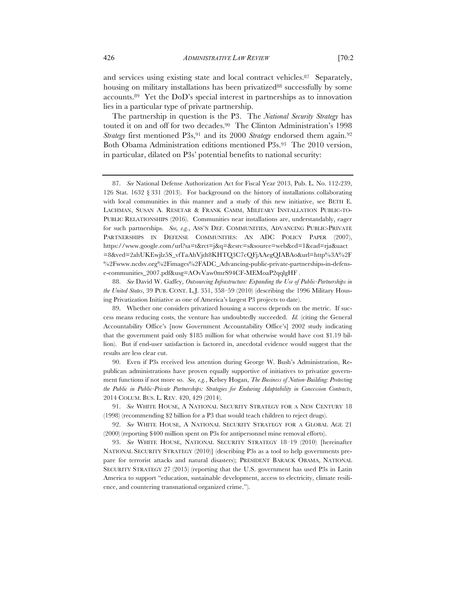and services using existing state and local contract vehicles.87 Separately, housing on military installations has been privatized<sup>88</sup> successfully by some accounts.89 Yet the DoD's special interest in partnerships as to innovation lies in a particular type of private partnership.

The partnership in question is the P3. The *National Security Strategy* has touted it on and off for two decades.90 The Clinton Administration's 1998 *Strategy* first mentioned P3s,<sup>91</sup> and its 2000 *Strategy* endorsed them again.<sup>92</sup> Both Obama Administration editions mentioned P3s.93 The 2010 version, in particular, dilated on P3s' potential benefits to national security:

88. *See* David W. Gaffey, *Outsourcing Infrastructure: Expanding the Use of Public-Partnerships in the United States*, 39 PUB. CONT. L.J. 351, 358–59 (2010) (describing the 1996 Military Housing Privatization Initiative as one of America's largest P3 projects to date).

<sup>87.</sup> *See* National Defense Authorization Act for Fiscal Year 2013, Pub. L. No. 112-239, 126 Stat. 1632 § 331 (2013). For background on the history of installations collaborating with local communities in this manner and a study of this new initiative, see BETH E. LACHMAN, SUSAN A. RESETAR & FRANK CAMM, MILITARY INSTALLATION PUBLIC-TO-PUBLIC RELATIONSHIPS (2016). Communities near installations are, understandably, eager for such partnerships. *See, e.g.*, ASS'N DEF. COMMUNITIES, ADVANCING PUBLIC-PRIVATE PARTNERSHIPS IN DEFENSE COMMUNITIES: AN ADC POLICY PAPER (2007), https://www.google.com/url?sa=t&rct=j&q=&esrc=s&source=web&cd=1&cad=rja&uact =8&ved=2ahUKEwjlz5S\_vfTaAhVjdt8KHTQ3C7cQFjAAegQIABAo&url=http%3A%2F %2Fwww.ncdsv.org%2Fimages%2FADC\_Advancing-public-private-partnerships-in-defense-communities\_2007.pdf&usg=AOvVaw0mrS94CF-MEMoaP2qqlgHF .

<sup>89.</sup> Whether one considers privatized housing a success depends on the metric. If success means reducing costs, the venture has undoubtedly succeeded. *Id.* (citing the General Accountability Office's [now Government Accountability Office's] 2002 study indicating that the government paid only \$185 million for what otherwise would have cost \$1.19 billion). But if end-user satisfaction is factored in, anecdotal evidence would suggest that the results are less clear cut.

<sup>90.</sup> Even if P3s received less attention during George W. Bush's Administration, Republican administrations have proven equally supportive of initiatives to privatize government functions if not more so. *See, e.g.*, Kelsey Hogan, *The Business of Nation-Building: Protecting the Public in Public-Private Partnerships: Strategies for Enduring Adaptability in Concession Contracts*, 2014 COLUM. BUS. L. REV. 420, 429 (2014).

<sup>91.</sup> *See* WHITE HOUSE, A NATIONAL SECURITY STRATEGY FOR A NEW CENTURY 18 (1998) (recommending \$2 billion for a P3 that would teach children to reject drugs).

<sup>92.</sup> *See* WHITE HOUSE, A NATIONAL SECURITY STRATEGY FOR A GLOBAL AGE 21 (2000) (reporting \$400 million spent on P3s for antipersonnel mine removal efforts).

<sup>93.</sup> *See* WHITE HOUSE, NATIONAL SECURITY STRATEGY 18–19 (2010) [hereinafter NATIONAL SECURITY STRATEGY (2010)] (describing P3s as a tool to help governments prepare for terrorist attacks and natural disasters); PRESIDENT BARACK OBAMA, NATIONAL SECURITY STRATEGY 27 (2015) (reporting that the U.S. government has used P3s in Latin America to support "education, sustainable development, access to electricity, climate resilience, and countering transnational organized crime.").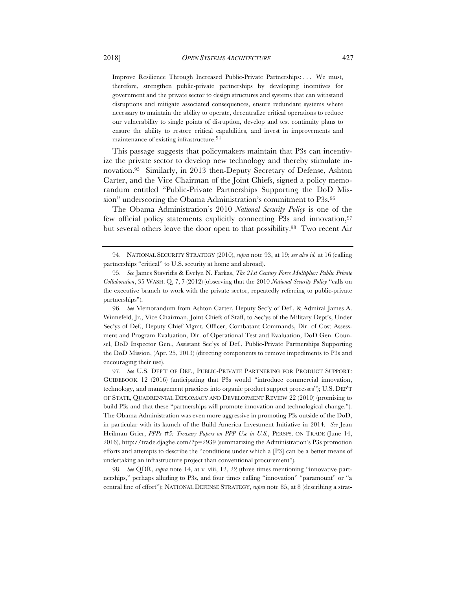Improve Resilience Through Increased Public-Private Partnerships: . . . We must, therefore, strengthen public-private partnerships by developing incentives for government and the private sector to design structures and systems that can withstand disruptions and mitigate associated consequences, ensure redundant systems where necessary to maintain the ability to operate, decentralize critical operations to reduce our vulnerability to single points of disruption, develop and test continuity plans to ensure the ability to restore critical capabilities, and invest in improvements and maintenance of existing infrastructure.94

This passage suggests that policymakers maintain that P3s can incentivize the private sector to develop new technology and thereby stimulate innovation.95 Similarly, in 2013 then-Deputy Secretary of Defense, Ashton Carter, and the Vice Chairman of the Joint Chiefs, signed a policy memorandum entitled "Public-Private Partnerships Supporting the DoD Mission" underscoring the Obama Administration's commitment to P3s.96

The Obama Administration's 2010 *National Security Policy* is one of the few official policy statements explicitly connecting P3s and innovation, <sup>97</sup> but several others leave the door open to that possibility.98 Two recent Air

96. *See* Memorandum from Ashton Carter, Deputy Sec'y of Def., & Admiral James A. Winnefeld, Jr., Vice Chairman, Joint Chiefs of Staff, to Sec'ys of the Military Dept's, Under Sec'ys of Def., Deputy Chief Mgmt. Officer, Combatant Commands, Dir. of Cost Assessment and Program Evaluation, Dir. of Operational Test and Evaluation, DoD Gen. Counsel, DoD Inspector Gen., Assistant Sec'ys of Def., Public-Private Partnerships Supporting the DoD Mission, (Apr. 25, 2013) (directing components to remove impediments to P3s and encouraging their use).

97. *See* U.S. DEP'T OF DEF., PUBLIC-PRIVATE PARTNERING FOR PRODUCT SUPPORT: GUIDEBOOK 12 (2016) (anticipating that P3s would "introduce commercial innovation, technology, and management practices into organic product support processes"); U.S. DEP'T OF STATE, QUADRENNIAL DIPLOMACY AND DEVELOPMENT REVIEW 22 (2010) (promising to build P3s and that these "partnerships will promote innovation and technological change."). The Obama Administration was even more aggressive in promoting P3s outside of the DoD, in particular with its launch of the Build America Investment Initiative in 2014. *See* Jean Heilman Grier, *PPPs #5: Treasury Papers on PPP Use in U.S.*, PERSPS. ON TRADE (June 14, 2016), http://trade.djaghe.com/?p=2939 (summarizing the Administration's P3s promotion efforts and attempts to describe the "conditions under which a [P3] can be a better means of undertaking an infrastructure project than conventional procurement").

98. *See* QDR, *supra* note 14, at v–viii, 12, 22 (three times mentioning "innovative partnerships," perhaps alluding to P3s, and four times calling "innovation" "paramount" or "a central line of effort"); NATIONAL DEFENSE STRATEGY, *supra* note 85, at 8 (describing a strat-

<sup>94.</sup> NATIONAL SECURITY STRATEGY (2010), *supra* note 93, at 19; *see also id.* at 16 (calling partnerships "critical" to U.S. security at home and abroad).

<sup>95.</sup> *See* James Stavridis & Evelyn N. Farkas, *The 21st Century Force Multiplier: Public Private Collaboration*, 35 WASH. Q. 7, 7 (2012) (observing that the 2010 *National Security Policy* "calls on the executive branch to work with the private sector, repeatedly referring to public-private partnerships").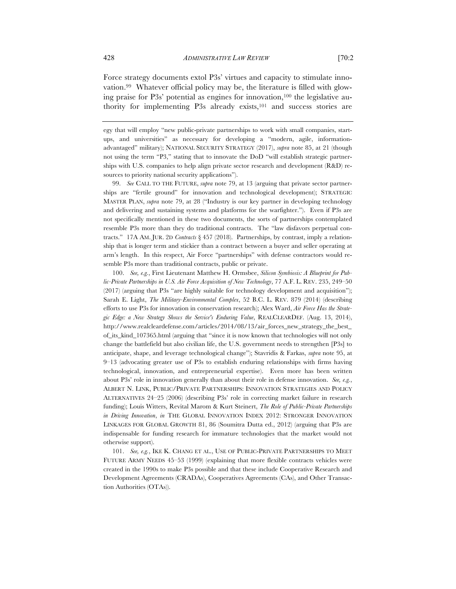Force strategy documents extol P3s' virtues and capacity to stimulate innovation.99 Whatever official policy may be, the literature is filled with glowing praise for P3s' potential as engines for innovation,100 the legislative authority for implementing P3s already exists,101 and success stories are

egy that will employ "new public-private partnerships to work with small companies, startups, and universities" as necessary for developing a "modern, agile, informationadvantaged" military); NATIONAL SECURITY STRATEGY (2017), *supra* note 85, at 21 (though not using the term "P3," stating that to innovate the DoD "will establish strategic partnerships with U.S. companies to help align private sector research and development (R&D) resources to priority national security applications").

99. *See* CALL TO THE FUTURE, *supra* note 79, at 13 (arguing that private sector partnerships are "fertile ground" for innovation and technological development); STRATEGIC MASTER PLAN, *supra* note 79, at 28 ("Industry is our key partner in developing technology and delivering and sustaining systems and platforms for the warfighter."). Even if P3s are not specifically mentioned in these two documents, the sorts of partnerships contemplated resemble P3s more than they do traditional contracts. The "law disfavors perpetual contracts." 17A AM. JUR. 2D *Contracts* § 457 (2018). Partnerships, by contrast, imply a relationship that is longer term and stickier than a contract between a buyer and seller operating at arm's length. In this respect, Air Force "partnerships" with defense contractors would resemble P3s more than traditional contracts, public or private.

100. *See, e.g.*, First Lieutenant Matthew H. Ormsbee, *Silicon Symbiosis: A Blueprint for Public-Private Partnerships in U.S. Air Force Acquisition of New Technology*, 77 A.F. L. REV. 235, 249–50 (2017) (arguing that P3s "are highly suitable for technology development and acquisition"); Sarah E. Light, *The Military-Environmental Complex*, 52 B.C. L. REV. 879 (2014) (describing efforts to use P3s for innovation in conservation research); Alex Ward, *Air Force Has the Strategic Edge: a New Strategy Shows the Service's Enduring Value*, REALCLEARDEF. (Aug. 13, 2014), http://www.realcleardefense.com/articles/2014/08/13/air\_forces\_new\_strategy\_the\_best\_ of\_its\_kind\_107365.html (arguing that "since it is now known that technologies will not only change the battlefield but also civilian life, the U.S. government needs to strengthen [P3s] to anticipate, shape, and leverage technological change"); Stavridis & Farkas, *supra* note 95, at 9–13 (advocating greater use of P3s to establish enduring relationships with firms having technological, innovation, and entrepreneurial expertise). Even more has been written about P3s' role in innovation generally than about their role in defense innovation. *See, e.g.*, ALBERT N. LINK, PUBLIC/PRIVATE PARTNERSHIPS: INNOVATION STRATEGIES AND POLICY ALTERNATIVES 24–25 (2006) (describing P3s' role in correcting market failure in research funding); Louis Witters, Revital Marom & Kurt Steinert, *The Role of Public-Private Partnerships in Driving Innovation*, *in* THE GLOBAL INNOVATION INDEX 2012: STRONGER INNOVATION LINKAGES FOR GLOBAL GROWTH 81, 86 (Soumitra Dutta ed., 2012) (arguing that P3s are indispensable for funding research for immature technologies that the market would not otherwise support).

101. *See, e.g.*, IKE K. CHANG ET AL., USE OF PUBLIC-PRIVATE PARTNERSHIPS TO MEET FUTURE ARMY NEEDS 45–53 (1999) (explaining that more flexible contracts vehicles were created in the 1990s to make P3s possible and that these include Cooperative Research and Development Agreements (CRADAs), Cooperatives Agreements (CAs), and Other Transaction Authorities (OTAs)).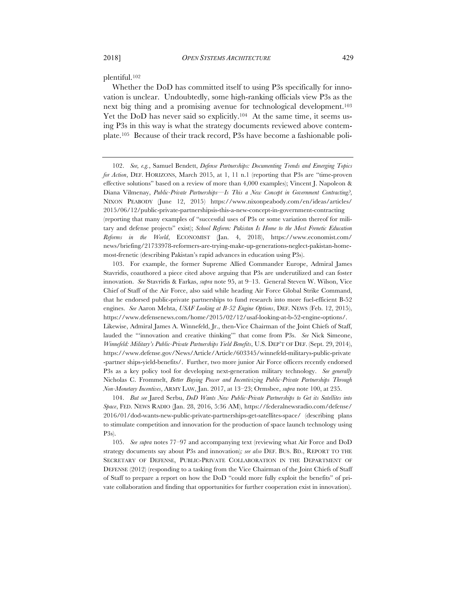plentiful.102

Whether the DoD has committed itself to using P3s specifically for innovation is unclear. Undoubtedly, some high-ranking officials view P3s as the next big thing and a promising avenue for technological development.103 Yet the DoD has never said so explicitly.<sup>104</sup> At the same time, it seems using P3s in this way is what the strategy documents reviewed above contemplate.105 Because of their track record, P3s have become a fashionable poli-

103. For example, the former Supreme Allied Commander Europe, Admiral James Stavridis, coauthored a piece cited above arguing that P3s are underutilized and can foster innovation. *See* Stavridis & Farkas, *supra* note 95, at 9–13. General Steven W. Wilson, Vice Chief of Staff of the Air Force, also said while heading Air Force Global Strike Command, that he endorsed public-private partnerships to fund research into more fuel-efficient B-52 engines. *See* Aaron Mehta, *USAF Looking at B-52 Engine Options*, DEF. NEWS (Feb. 12, 2015), https://www.defensenews.com/home/2015/02/12/usaf-looking-at-b-52-engine-options/. Likewise, Admiral James A. Winnefeld, Jr., then-Vice Chairman of the Joint Chiefs of Staff, lauded the "'innovation and creative thinking'" that come from P3s. *See* Nick Simeone, *Winnefeld: Military's Public-Private Partnerships Yield Benefits*, U.S. DEP'T OF DEF. (Sept. 29, 2014), https://www.defense.gov/News/Article/Article/603345/winnefeld-militarys-public-private -partner ships-yield-benefits/. Further, two more junior Air Force officers recently endorsed P3s as a key policy tool for developing next-generation military technology. *See generally* Nicholas C. Frommelt, *Better Buying Power and Incentivizing Public-Private Partnerships Through Non-Monetary Incentives*, ARMY LAW, Jan. 2017, at 13–23; Ormsbee, *supra* note 100, at 235.

104. *But see* Jared Serbu, *DoD Wants New Public-Private Partnerships to Get its Satellites into Space*, FED. NEWS RADIO (Jan. 28, 2016, 5:36 AM), https://federalnewsradio.com/defense/ 2016/01/dod-wants-new-public-private-partnerships-get-satellites-space/ (describing plans to stimulate competition and innovation for the production of space launch technology using P3s).

105. *See supra* notes 77–97 and accompanying text (reviewing what Air Force and DoD strategy documents say about P3s and innovation)*; see also* DEF. BUS. BD., REPORT TO THE SECRETARY OF DEFENSE, PUBLIC-PRIVATE COLLABORATION IN THE DEPARTMENT OF DEFENSE (2012) (responding to a tasking from the Vice Chairman of the Joint Chiefs of Staff of Staff to prepare a report on how the DoD "could more fully exploit the benefits" of private collaboration and finding that opportunities for further cooperation exist in innovation).

<sup>102.</sup> *See, e.g.*, Samuel Bendett, *Defense Partnerships: Documenting Trends and Emerging Topics for Action*, DEF. HORIZONS, March 2015, at 1, 11 n.1 (reporting that P3s are "time-proven effective solutions" based on a review of more than 4,000 examples); Vincent J. Napoleon & Diana Vilmenay, *Public-Private Partnerships—Is This a New Concept in Government Contracting?*, NIXON PEABODY (June 12, 2015) https://www.nixonpeabody.com/en/ideas/articles/ 2015/06/12/public-private-partnershipsis-this-a-new-concept-in-government-contracting (reporting that many examples of "successful uses of P3s or some variation thereof for military and defense projects" exist); *School Reform: Pakistan Is Home to the Most Frenetic Education Reforms in the World*, ECONOMIST (Jan. 4, 2018), https://www.economist.com/ news/briefing/21733978-reformers-are-trying-make-up-generations-neglect-pakistan-homemost-frenetic (describing Pakistan's rapid advances in education using P3s).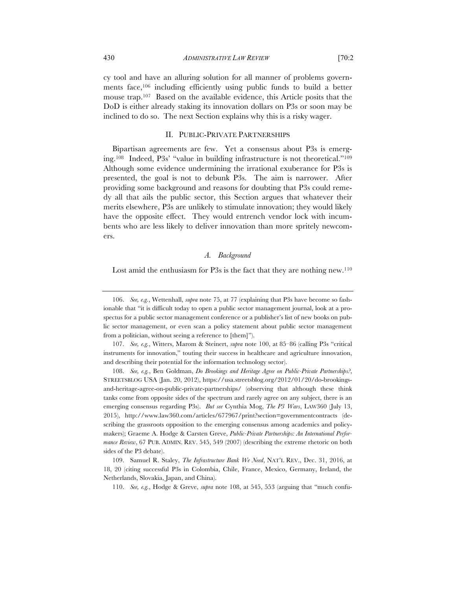cy tool and have an alluring solution for all manner of problems governments face,106 including efficiently using public funds to build a better mouse trap.107 Based on the available evidence, this Article posits that the DoD is either already staking its innovation dollars on P3s or soon may be inclined to do so. The next Section explains why this is a risky wager.

# II. PUBLIC-PRIVATE PARTNERSHIPS

Bipartisan agreements are few. Yet a consensus about P3s is emerging.108 Indeed, P3s' "value in building infrastructure is not theoretical."109 Although some evidence undermining the irrational exuberance for P3s is presented, the goal is not to debunk P3s. The aim is narrower. After providing some background and reasons for doubting that P3s could remedy all that ails the public sector, this Section argues that whatever their merits elsewhere, P3s are unlikely to stimulate innovation; they would likely have the opposite effect. They would entrench vendor lock with incumbents who are less likely to deliver innovation than more spritely newcomers.

# *A. Background*

Lost amid the enthusiasm for P3s is the fact that they are nothing new.<sup>110</sup>

107. *See, e.g.*, Witters, Marom & Steinert, *supra* note 100, at 85–86 (calling P3s "critical instruments for innovation," touting their success in healthcare and agriculture innovation, and describing their potential for the information technology sector).

108. *See, e.g.*, Ben Goldman, *Do Brookings and Heritage Agree on Public-Private Partnerships?*, STREETSBLOG USA (Jan. 20, 2012), https://usa.streetsblog.org/2012/01/20/do-brookingsand-heritage-agree-on-public-private-partnerships/ (observing that although these think tanks come from opposite sides of the spectrum and rarely agree on any subject, there is an emerging consensus regarding P3s). *But see* Cynthia Mog, *The P3 Wars*, LAW360 (July 13, 2015), http://www.law360.com/articles/677967/print?section=governmentcontracts (describing the grassroots opposition to the emerging consensus among academics and policymakers); Graeme A. Hodge & Carsten Greve, *Public-Private Partnerships: An International Performance Review*, 67 PUB. ADMIN. REV. 545, 549 (2007) (describing the extreme rhetoric on both sides of the P3 debate).

109. Samuel R. Staley, *The Infrastructure Bank We Need*, NAT'L REV., Dec. 31, 2016, at 18, 20 (citing successful P3s in Colombia, Chile, France, Mexico, Germany, Ireland, the Netherlands, Slovakia, Japan, and China).

110. *See, e.g.*, Hodge & Greve, *supra* note 108, at 545, 553 (arguing that "much confu-

<sup>106.</sup> *See, e.g.*, Wettenhall, *supra* note 75, at 77 (explaining that P3s have become so fashionable that "it is difficult today to open a public sector management journal, look at a prospectus for a public sector management conference or a publisher's list of new books on public sector management, or even scan a policy statement about public sector management from a politician, without seeing a reference to [them]").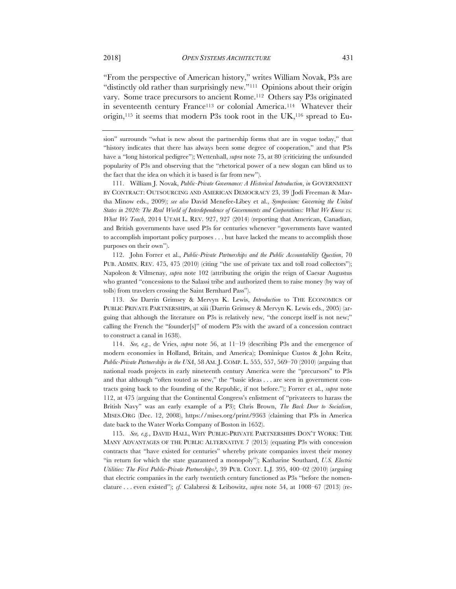"From the perspective of American history," writes William Novak, P3s are "distinctly old rather than surprisingly new."111 Opinions about their origin vary. Some trace precursors to ancient Rome.112 Others say P3s originated in seventeenth century France<sup>113</sup> or colonial America.<sup>114</sup> Whatever their origin,<sup>115</sup> it seems that modern P3s took root in the UK,<sup>116</sup> spread to Eu-

111. William J. Novak, *Public-Private Governance: A Historical Introduction*, *in* GOVERNMENT BY CONTRACT: OUTSOURCING AND AMERICAN DEMOCRACY 23, 39 (Jodi Freeman & Martha Minow eds., 2009); *see also* David Menefee-Libey et al., *Symposium: Governing the United States in 2020: The Real World of Interdependence of Governments and Corporations: What We Know vs. What We Teach*, 2014 UTAH L. REV. 927, 927 (2014) (reporting that American, Canadian, and British governments have used P3s for centuries whenever "governments have wanted to accomplish important policy purposes . . . but have lacked the means to accomplish those purposes on their own").

112. John Forrer et al., *Public-Private Partnerships and the Public Accountability Question*, 70 PUB. ADMIN. REV. 475, 475 (2010) (citing "the use of private tax and toll road collectors"); Napoleon & Vilmenay, *supra* note 102 (attributing the origin the reign of Caesar Augustus who granted "concessions to the Salassi tribe and authorized them to raise money (by way of tolls) from travelers crossing the Saint Bernhard Pass").

113. *See* Darrin Grimsey & Mervyn K. Lewis, *Introduction* to THE ECONOMICS OF PUBLIC PRIVATE PARTNERSHIPS, at xiii (Darrin Grimsey & Mervyn K. Lewis eds., 2005) (arguing that although the literature on P3s is relatively new, "the concept itself is not new;" calling the French the "founder[s]" of modern P3s with the award of a concession contract to construct a canal in 1638).

114. *See, e.g.*, de Vries, *supra* note 56, at 11–19 (describing P3s and the emergence of modern economies in Holland, Britain, and America); Dominique Custos & John Reitz, *Public-Private Partnerships in the USA*, 58 AM. J. COMP. L. 555, 557, 569–70 (2010) (arguing that national roads projects in early nineteenth century America were the "precursors" to P3s and that although "often touted as new," the "basic ideas . . . are seen in government contracts going back to the founding of the Republic, if not before."); Forrer et al., *supra* note 112, at 475 (arguing that the Continental Congress's enlistment of "privateers to harass the British Navy" was an early example of a P3); Chris Brown, *The Back Door to Socialism*, MISES.ORG (Dec. 12, 2008), https://mises.org/print/9363 (claiming that P3s in America date back to the Water Works Company of Boston in 1652).

115. *See, e.g.*, DAVID HALL, WHY PUBLIC-PRIVATE PARTNERSHIPS DON'T WORK: THE MANY ADVANTAGES OF THE PUBLIC ALTERNATIVE 7 (2015) (equating P3s with concession contracts that "have existed for centuries" whereby private companies invest their money "in return for which the state guaranteed a monopoly"); Katharine Southard, *U.S. Electric Utilities: The First Public-Private Partnerships?*, 39 PUB. CONT. L.J. 395, 400–02 (2010) (arguing that electric companies in the early twentieth century functioned as P3s "before the nomenclature . . . even existed"); *cf.* Calabresi & Leibowitz, *supra* note 54, at 1008–67 (2013) (re-

sion" surrounds "what is new about the partnership forms that are in vogue today," that "history indicates that there has always been some degree of cooperation," and that P3s have a "long historical pedigree"); Wettenhall, *supra* note 75, at 80 (criticizing the unfounded popularity of P3s and observing that the "rhetorical power of a new slogan can blind us to the fact that the idea on which it is based is far from new").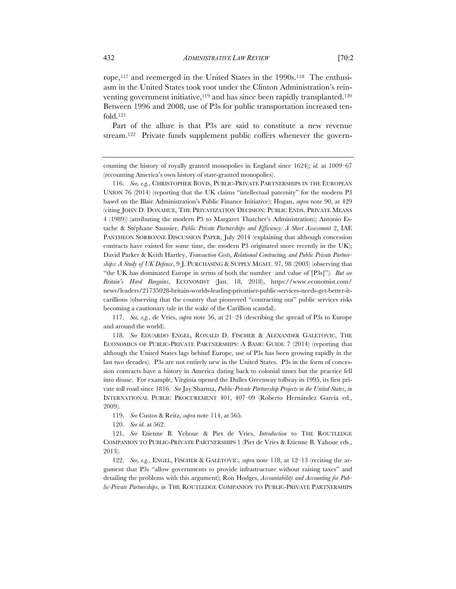rope,117 and reemerged in the United States in the 1990s.118 The enthusiasm in the United States took root under the Clinton Administration's reinventing government initiative,<sup>119</sup> and has since been rapidly transplanted.<sup>120</sup> Between 1996 and 2008, use of P3s for public transportation increased tenfold.121

Part of the allure is that P3s are said to constitute a new revenue stream.<sup>122</sup> Private funds supplement public coffers whenever the govern-

119. *See* Custos & Reitz, *supra* note 114, at 565.

120. *See id.* at 562.

121. *See* Etienne B. Yehoue & Piet de Vries, *Introduction* to THE ROUTLEDGE COMPANION TO PUBLIC-PRIVATE PARTNERSHIPS 1 (Piet de Vries & Etienne B. Yahoue eds., 2013).

122. *See, e.g.*, ENGEL, FISCHER & GALETOVIC, *supra* note 118, at 12–13 (reciting the argument that P3s "allow governments to provide infrastructure without raising taxes" and detailing the problems with this argument); Ron Hodges, *Accountability and Accounting for Public-Private Partnerships*, *in* THE ROUTLEDGE COMPANION TO PUBLIC-PRIVATE PARTNERSHIPS

counting the history of royally granted monopolies in England since 1624); *id.* at 1009–67 (recounting America's own history of state-granted monopolies).

<sup>116.</sup> *See, e.g.*, CHRISTOPHER BOVIS, PUBLIC-PRIVATE PARTNERSHIPS IN THE EUROPEAN UNION 76 (2014) (reporting that the UK claims "intellectual paternity" for the modern P3 based on the Blair Administration's Public Finance Initiative); Hogan, *supra* note 90, at 429 (citing JOHN D. DONAHUE, THE PRIVATIZATION DECISION: PUBLIC ENDS, PRIVATE MEANS 4 (1989)) (attributing the modern P3 to Margaret Thatcher's Administration); Antonio Estache & Stéphane Saussier, *Public Private Partnerships and Efficiency: A Short Assessment* 2, IAE PANTHEON SORBONNE DISCUSSION PAPER, July 2014 (explaining that although concession contracts have existed for some time, the modern P3 originated more recently in the UK); David Parker & Keith Hartley, *Transaction Costs, Relational Contracting, and Public Private Partnerships: A Study of UK Defence*, 9 J. PURCHASING & SUPPLY MGMT. 97, 98 (2003) (observing that "the UK has dominated Europe in terms of both the number and value of [P3s]"). *But see Britain's Hard Bargains*, ECONOMIST (Jan. 18, 2018), https://www.economist.com/ news/leaders/21735028-britain-worlds-leading-privatiser-public-services-needs-get-better-itcarillions (observing that the country that pioneered "contracting out" public services risks becoming a cautionary tale in the wake of the Carillion scandal).

<sup>117.</sup> *See, e.g.*, de Vries, *supra* note 56, at 21–24 (describing the spread of P3s to Europe and around the world).

<sup>118.</sup> *See* EDUARDO ENGEL, RONALD D. FISCHER & ALEXANDER GALETOVIC, THE ECONOMICS OF PUBLIC-PRIVATE PARTNERSHIPS: A BASIC GUIDE 7 (2014) (reporting that although the United States lags behind Europe, use of P3s has been growing rapidly in the last two decades). P3s are not entirely new in the United States. P3s in the form of concession contracts have a history in America dating back to colonial times but the practice fell into disuse. For example, Virginia opened the Dulles Greenway tollway in 1995, its first private toll road since 1816. *See* Jay Sharma, *Public-Private Partnership Projects in the United States*, *in*  INTERNATIONAL PUBLIC PROCUREMENT 401, 407–09 (Roberto Hernández García ed., 2009).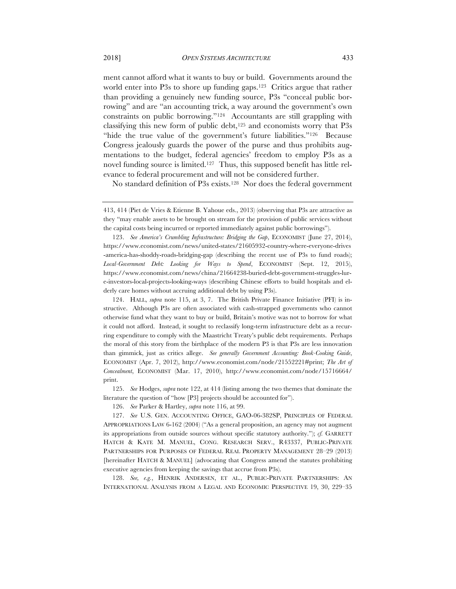ment cannot afford what it wants to buy or build. Governments around the world enter into P3s to shore up funding gaps.<sup>123</sup> Critics argue that rather than providing a genuinely new funding source, P3s "conceal public borrowing" and are "an accounting trick, a way around the government's own constraints on public borrowing."124 Accountants are still grappling with classifying this new form of public debt, $125$  and economists worry that P3s "hide the true value of the government's future liabilities."<sup>126</sup> Because Congress jealously guards the power of the purse and thus prohibits augmentations to the budget, federal agencies' freedom to employ P3s as a novel funding source is limited.127 Thus, this supposed benefit has little relevance to federal procurement and will not be considered further.

No standard definition of P3s exists.128 Nor does the federal government

124. HALL, *supra* note 115, at 3, 7. The British Private Finance Initiative (PFI) is instructive. Although P3s are often associated with cash-strapped governments who cannot otherwise fund what they want to buy or build, Britain's motive was not to borrow for what it could not afford. Instead, it sought to reclassify long-term infrastructure debt as a recurring expenditure to comply with the Maastricht Treaty's public debt requirements. Perhaps the moral of this story from the birthplace of the modern P3 is that P3s are less innovation than gimmick, just as critics allege. *See generally Government Accounting: Book-Cooking Guide*, ECONOMIST (Apr. 7, 2012), http://www.economist.com/node/21552221#print; *The Art of Concealment*, ECONOMIST (Mar. 17, 2010), http://www.economist.com/node/15716664/ print.

125. *See* Hodges, *supra* note 122, at 414 (listing among the two themes that dominate the literature the question of "how [P3] projects should be accounted for").

126. *See* Parker & Hartley, *supra* note 116, at 99.

127. *See* U.S. GEN. ACCOUNTING OFFICE, GAO-06-382SP, PRINCIPLES OF FEDERAL APPROPRIATIONS LAW 6-162 (2004) ("As a general proposition, an agency may not augment its appropriations from outside sources without specific statutory authority."); *cf.* GARRETT HATCH & KATE M. MANUEL, CONG. RESEARCH SERV., R43337, PUBLIC-PRIVATE PARTNERSHIPS FOR PURPOSES OF FEDERAL REAL PROPERTY MANAGEMENT 28–29 (2013) [hereinafter HATCH & MANUEL] (advocating that Congress amend the statutes prohibiting executive agencies from keeping the savings that accrue from P3s).

128. *See, e.g.*, HENRIK ANDERSEN, ET AL., PUBLIC-PRIVATE PARTNERSHIPS: AN INTERNATIONAL ANALYSIS FROM A LEGAL AND ECONOMIC PERSPECTIVE 19, 30, 229–35

<sup>413, 414 (</sup>Piet de Vries & Etienne B. Yahoue eds., 2013) (observing that P3s are attractive as they "may enable assets to be brought on stream for the provision of public services without the capital costs being incurred or reported immediately against public borrowings").

<sup>123.</sup> *See America's Crumbling Infrastructure: Bridging the Gap*, ECONOMIST (June 27, 2014), https://www.economist.com/news/united-states/21605932-country-where-everyone-drives -america-has-shoddy-roads-bridging-gap (describing the recent use of P3s to fund roads); *Local-Government Debt: Looking for Ways to Spend*, ECONOMIST (Sept. 12, 2015), https://www.economist.com/news/china/21664238-buried-debt-government-struggles-lure-investors-local-projects-looking-ways (describing Chinese efforts to build hospitals and elderly care homes without accruing additional debt by using P3s).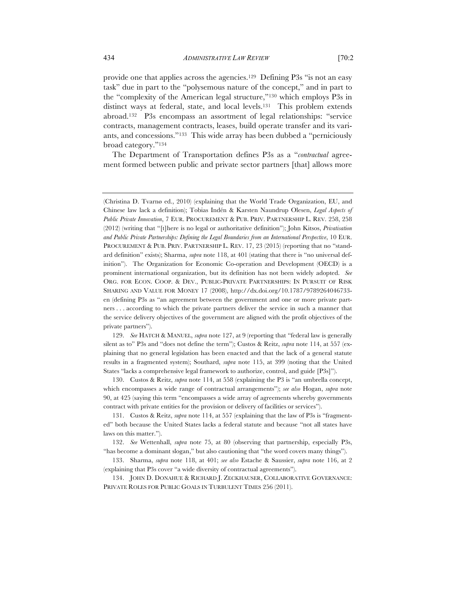provide one that applies across the agencies.129 Defining P3s "is not an easy task" due in part to the "polysemous nature of the concept," and in part to the "complexity of the American legal structure,"130 which employs P3s in distinct ways at federal, state, and local levels.131 This problem extends abroad.132 P3s encompass an assortment of legal relationships: "service contracts, management contracts, leases, build operate transfer and its variants, and concessions."133 This wide array has been dubbed a "perniciously broad category."134

The Department of Transportation defines P3s as a "*contractual* agreement formed between public and private sector partners [that] allows more

129. *See* HATCH & MANUEL, *supra* note 127, at 9 (reporting that "federal law is generally silent as to" P3s and "does not define the term"); Custos & Reitz, *supra* note 114, at 557 (explaining that no general legislation has been enacted and that the lack of a general statute results in a fragmented system); Southard, *supra* note 115, at 399 (noting that the United States "lacks a comprehensive legal framework to authorize, control, and guide [P3s]").

130. Custos & Reitz, *supra* note 114, at 558 (explaining the P3 is "an umbrella concept, which encompasses a wide range of contractual arrangements"); *see also* Hogan, *supra* note 90, at 425 (saying this term "encompasses a wide array of agreements whereby governments contract with private entities for the provision or delivery of facilities or services").

<sup>(</sup>Christina D. Tvarnø ed., 2010) (explaining that the World Trade Organization, EU, and Chinese law lack a definition); Tobias Indén & Karsten Naundrup Olesen, *Legal Aspects of Public Private Innovation*, 7 EUR. PROCUREMENT & PUB. PRIV. PARTNERSHIP L. REV. 258, 258 (2012) (writing that "[t]here is no legal or authoritative definition"); John Kitsos, *Privatisation and Public Private Partnerships: Defining the Legal Boundaries from an International Perspective*, 10 EUR. PROCUREMENT & PUB. PRIV. PARTNERSHIP L. REV. 17, 23 (2015) (reporting that no "standard definition" exists); Sharma, *supra* note 118, at 401 (stating that there is "no universal definition"). The Organization for Economic Co-operation and Development (OECD) is a prominent international organization, but its definition has not been widely adopted. *See* ORG. FOR ECON. COOP. & DEV., PUBLIC-PRIVATE PARTNERSHIPS: IN PURSUIT OF RISK SHARING AND VALUE FOR MONEY 17 (2008), http://dx.doi.org/10.1787/9789264046733 en (defining P3s as "an agreement between the government and one or more private partners . . . according to which the private partners deliver the service in such a manner that the service delivery objectives of the government are aligned with the profit objectives of the private partners").

<sup>131.</sup> Custos & Reitz, *supra* note 114, at 557 (explaining that the law of P3s is "fragmented" both because the United States lacks a federal statute and because "not all states have laws on this matter.").

<sup>132.</sup> *See* Wettenhall, *supra* note 75, at 80 (observing that partnership, especially P3s, "has become a dominant slogan," but also cautioning that "the word covers many things").

<sup>133.</sup> Sharma, *supra* note 118, at 401; *see also* Estache & Saussier, *supra* note 116, at 2 (explaining that P3s cover "a wide diversity of contractual agreements").

<sup>134.</sup> JOHN D. DONAHUE & RICHARD J. ZECKHAUSER, COLLABORATIVE GOVERNANCE: PRIVATE ROLES FOR PUBLIC GOALS IN TURBULENT TIMES 256 (2011).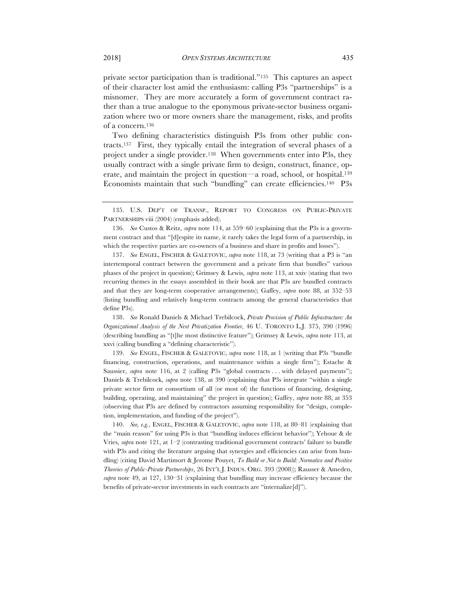private sector participation than is traditional."135 This captures an aspect of their character lost amid the enthusiasm: calling P3s "partnerships" is a misnomer. They are more accurately a form of government contract rather than a true analogue to the eponymous private-sector business organization where two or more owners share the management, risks, and profits of a concern.136

Two defining characteristics distinguish P3s from other public contracts.137 First, they typically entail the integration of several phases of a project under a single provider.138 When governments enter into P3s, they usually contract with a single private firm to design, construct, finance, operate, and maintain the project in question—a road, school, or hospital.139 Economists maintain that such "bundling" can create efficiencies.<sup>140</sup> P3s

136. *See* Custos & Reitz, *supra* note 114, at 559–60 (explaining that the P3s is a government contract and that "[d]espite its name, it rarely takes the legal form of a partnership, in which the respective parties are co-owners of a business and share in profits and losses").

137. *See* ENGEL, FISCHER & GALETOVIC, *supra* note 118, at 73 (writing that a P3 is "an intertemporal contract between the government and a private firm that bundles" various phases of the project in question); Grimsey & Lewis, *supra* note 113, at xxiv (stating that two recurring themes in the essays assembled in their book are that P3s are bundled contracts and that they are long-term cooperative arrangements); Gaffey, *supra* note 88, at 352–53 (listing bundling and relatively long-term contracts among the general characteristics that define P3s).

138. *See* Ronald Daniels & Michael Trebilcock, *Private Provision of Public Infrastructure: An Organizational Analysis of the Next Privatization Frontier*, 46 U. TORONTO L.J. 375, 390 (1996) (describing bundling as "[t]he most distinctive feature"); Grimsey & Lewis, *supra* note 113, at xxvi (calling bundling a "defining characteristic").

139. *See* ENGEL, FISCHER & GALETOVIC, *supra* note 118, at 1 (writing that P3s "bundle financing, construction, operations, and maintenance within a single firm"); Estache & Saussier, *supra* note 116, at 2 (calling P3s "global contracts . . . with delayed payments"); Daniels & Trebilcock, *supra* note 138, at 390 (explaining that P3s integrate "within a single private sector firm or consortium of all (or most of) the functions of financing, designing, building, operating, and maintaining" the project in question); Gaffey, *supra* note 88, at 353 (observing that P3s are defined by contractors assuming responsibility for "design, completion, implementation, and funding of the project").

140. *See, e.g.*, ENGEL, FISCHER & GALETOVIC, *supra* note 118, at 80–81 (explaining that the "main reason" for using P3s is that "bundling induces efficient behavior"); Yehoue & de Vries, *supra* note 121, at 1–2 (contrasting traditional government contracts' failure to bundle with P3s and citing the literature arguing that synergies and efficiencies can arise from bundling) (citing David Martimort & Jerome Pouyet, *To Build or Not to Build: Normative and Positive Theories of Public-Private Partnerships*, 26 INT'L J. INDUS. ORG. 393 (2008)); Rausser & Ameden, *supra* note 49, at 127, 130–31 (explaining that bundling may increase efficiency because the benefits of private-sector investments in such contracts are "internalize[d]").

<sup>135.</sup> U.S. DEP'T OF TRANSP., REPORT TO CONGRESS ON PUBLIC-PRIVATE PARTNERSHIPS viii (2004) (emphasis added).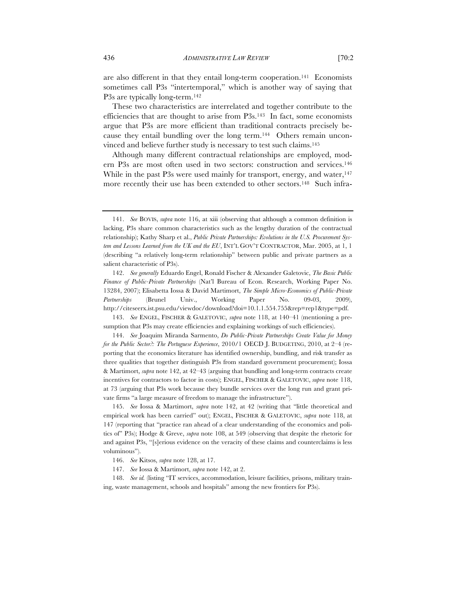are also different in that they entail long-term cooperation.141 Economists sometimes call P3s "intertemporal," which is another way of saying that P3s are typically long-term.142

These two characteristics are interrelated and together contribute to the efficiencies that are thought to arise from P3s.143 In fact, some economists argue that P3s are more efficient than traditional contracts precisely because they entail bundling over the long term.<sup>144</sup> Others remain unconvinced and believe further study is necessary to test such claims.145

Although many different contractual relationships are employed, modern P3s are most often used in two sectors: construction and services.146 While in the past P3s were used mainly for transport, energy, and water,  $147$ more recently their use has been extended to other sectors.<sup>148</sup> Such infra-

145. *See* Iossa & Martimort, *supra* note 142, at 42 (writing that "little theoretical and empirical work has been carried" out); ENGEL, FISCHER & GALETOVIC, *supra* note 118, at 147 (reporting that "practice ran ahead of a clear understanding of the economics and politics of" P3s); Hodge & Greve, *supra* note 108, at 549 (observing that despite the rhetoric for and against P3s, "[s]erious evidence on the veracity of these claims and counterclaims is less voluminous").

<sup>141.</sup> *See* BOVIS, *supra* note 116, at xiii (observing that although a common definition is lacking, P3s share common characteristics such as the lengthy duration of the contractual relationship); Kathy Sharp et al., *Public Private Partnerships: Evolutions in the U.S. Procurement System and Lessons Learned from the UK and the EU*, INT'L GOV'T CONTRACTOR, Mar. 2005, at 1, 1 (describing "a relatively long-term relationship" between public and private partners as a salient characteristic of P3s).

<sup>142.</sup> *See generally* Eduardo Engel, Ronald Fischer & Alexander Galetovic, *The Basic Public Finance of Public-Private Partnerships* (Nat'l Bureau of Econ. Research, Working Paper No. 13284, 2007); Elisabetta Iossa & David Martimort, *The Simple Micro-Economics of Public-Private Partnerships* (Brunel Univ., Working Paper No. 09-03, 2009), http://citeseerx.ist.psu.edu/viewdoc/download?doi=10.1.1.554.755&rep=rep1&type=pdf.

<sup>143.</sup> *See* ENGEL, FISCHER & GALETOVIC, *supra* note 118, at 140–41 (mentioning a presumption that P3s may create efficiencies and explaining workings of such efficiencies).

<sup>144.</sup> *See* Joaquim Miranda Sarmento, *Do Public-Private Partnerships Create Value for Money for the Public Sector?: The Portuguese Experience*, 2010/1 OECD J. BUDGETING, 2010, at 2–4 (reporting that the economics literature has identified ownership, bundling, and risk transfer as three qualities that together distinguish P3s from standard government procurement); Iossa & Martimort, *supra* note 142, at 42–43 (arguing that bundling and long-term contracts create incentives for contractors to factor in costs); ENGEL, FISCHER & GALETOVIC, *supra* note 118, at 73 (arguing that P3s work because they bundle services over the long run and grant private firms "a large measure of freedom to manage the infrastructure").

<sup>146.</sup> *See* Kitsos, *supra* note 128, at 17.

<sup>147.</sup> *See* Iossa & Martimort, *supra* note 142, at 2.

<sup>148.</sup> *See id.* (listing "IT services, accommodation, leisure facilities, prisons, military training, waste management, schools and hospitals" among the new frontiers for P3s).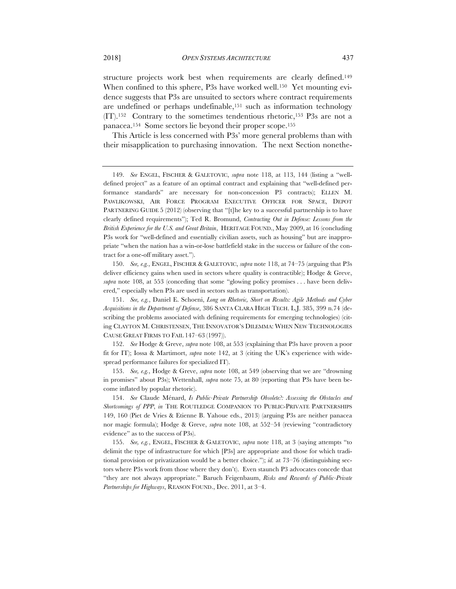structure projects work best when requirements are clearly defined.<sup>149</sup> When confined to this sphere, P3s have worked well.<sup>150</sup> Yet mounting evidence suggests that P3s are unsuited to sectors where contract requirements are undefined or perhaps undefinable,151 such as information technology (IT).152 Contrary to the sometimes tendentious rhetoric,153 P3s are not a panacea.154 Some sectors lie beyond their proper scope.155

This Article is less concerned with P3s' more general problems than with their misapplication to purchasing innovation. The next Section nonethe-

150. *See, e.g.*, ENGEL, FISCHER & GALETOVIC, *supra* note 118, at 74–75 (arguing that P3s deliver efficiency gains when used in sectors where quality is contractible); Hodge & Greve, *supra* note 108, at 553 (conceding that some "glowing policy promises . . . have been delivered," especially when P3s are used in sectors such as transportation).

151. *See, e.g.*, Daniel E. Schoeni, *Long on Rhetoric, Short on Results: Agile Methods and Cyber Acquisitions in the Department of Defense*, 386 SANTA CLARA HIGH TECH. L.J. 385, 399 n.74 (describing the problems associated with defining requirements for emerging technologies) (citing CLAYTON M. CHRISTENSEN, THE INNOVATOR'S DILEMMA: WHEN NEW TECHNOLOGIES CAUSE GREAT FIRMS TO FAIL 147–63 (1997)).

152. *See* Hodge & Greve, *supra* note 108, at 553 (explaining that P3s have proven a poor fit for IT); Iossa & Martimort, *supra* note 142, at 3 (citing the UK's experience with widespread performance failures for specialized IT).

153. *See, e.g.*, Hodge & Greve, *supra* note 108, at 549 (observing that we are "drowning in promises" about P3s); Wettenhall, *supra* note 75, at 80 (reporting that P3s have been become inflated by popular rhetoric).

154. *See* Claude Ménard, *Is Public-Private Partnership Obsolete?: Assessing the Obstacles and Shortcomings of PPP*, *in* THE ROUTLEDGE COMPANION TO PUBLIC-PRIVATE PARTNERSHIPS 149, 160 (Piet de Vries & Etienne B. Yahoue eds., 2013) (arguing P3s are neither panacea nor magic formula); Hodge & Greve, *supra* note 108, at 552–54 (reviewing "contradictory evidence" as to the success of P3s).

155. *See, e.g.*, ENGEL, FISCHER & GALETOVIC, *supra* note 118, at 3 (saying attempts "to delimit the type of infrastructure for which [P3s] are appropriate and those for which traditional provision or privatization would be a better choice."); *id.* at 73–76 (distinguishing sectors where P3s work from those where they don't). Even staunch P3 advocates concede that "they are not always appropriate." Baruch Feigenbaum, *Risks and Rewards of Public-Private Partnerships for Highways*, REASON FOUND., Dec. 2011, at 3–4.

<sup>149.</sup> *See* ENGEL, FISCHER & GALETOVIC, *supra* note 118, at 113, 144 (listing a "welldefined project" as a feature of an optimal contract and explaining that "well-defined performance standards" are necessary for non-concession P3 contracts); ELLEN M. PAWLIKOWSKI, AIR FORCE PROGRAM EXECUTIVE OFFICER FOR SPACE, DEPOT PARTNERING GUIDE 5 (2012) (observing that "[t]he key to a successful partnership is to have clearly defined requirements"); Ted R. Bromund, *Contracting Out in Defense: Lessons from the British Experience for the U.S. and Great Britain*, HERITAGE FOUND., May 2009, at 16 (concluding P3s work for "well-defined and essentially civilian assets, such as housing" but are inappropriate "when the nation has a win-or-lose battlefield stake in the success or failure of the contract for a one-off military asset.").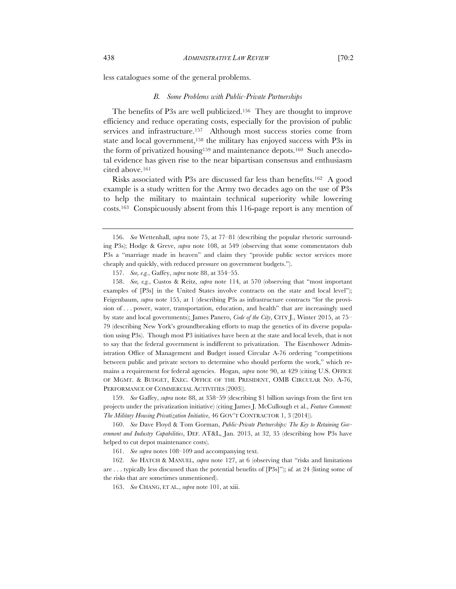#### *B. Some Problems with Public-Private Partnerships*

The benefits of P3s are well publicized.156 They are thought to improve efficiency and reduce operating costs, especially for the provision of public services and infrastructure.<sup>157</sup> Although most success stories come from state and local government,158 the military has enjoyed success with P3s in the form of privatized housing159 and maintenance depots.160 Such anecdotal evidence has given rise to the near bipartisan consensus and enthusiasm cited above.161

Risks associated with P3s are discussed far less than benefits.162 A good example is a study written for the Army two decades ago on the use of P3s to help the military to maintain technical superiority while lowering costs.163 Conspicuously absent from this 116-page report is any mention of

158. *See, e.g.*, Custos & Reitz, *supra* note 114, at 570 (observing that "most important examples of [P3s] in the United States involve contracts on the state and local level"); Feigenbaum, *supra* note 155, at 1 (describing P3s as infrastructure contracts "for the provision of . . . power, water, transportation, education, and health" that are increasingly used by state and local governments); James Panero, *Code of the City*, CITY J., Winter 2015, at 75– 79 (describing New York's groundbreaking efforts to map the genetics of its diverse population using P3s). Though most P3 initiatives have been at the state and local levels, that is not to say that the federal government is indifferent to privatization. The Eisenhower Administration Office of Management and Budget issued Circular A-76 ordering "competitions between public and private sectors to determine who should perform the work," which remains a requirement for federal agencies. Hogan, *supra* note 90, at 429 (citing U.S. OFFICE OF MGMT. & BUDGET, EXEC. OFFICE OF THE PRESIDENT, OMB CIRCULAR NO. A-76, PERFORMANCE OF COMMERCIAL ACTIVITIES (2003)).

159. *See* Gaffey, *supra* note 88, at 358–59 (describing \$1 billion savings from the first ten projects under the privatization initiative) (citing James J. McCullough et al., *Feature Comment: The Military Housing Privatization Initiative*, 46 GOV'T CONTRACTOR 1, 3 (2014)).

160. *See* Dave Floyd & Tom Gorman, *Public-Private Partnerships: The Key to Retaining Government and Industry Capabilities*, DEF. AT&L, Jan. 2013, at 32, 35 (describing how P3s have helped to cut depot maintenance costs).

161. *See supra* notes 108–109 and accompanying text.

<sup>156.</sup> *See* Wettenhall, *supra* note 75, at 77–81 (describing the popular rhetoric surrounding P3s); Hodge & Greve, *supra* note 108, at 549 (observing that some commentators dub P3s a "marriage made in heaven" and claim they "provide public sector services more cheaply and quickly, with reduced pressure on government budgets.").

<sup>157.</sup> *See, e.g.*, Gaffey, *supra* note 88, at 354–55.

<sup>162.</sup> *See* HATCH & MANUEL, *supra* note 127, at 6 (observing that "risks and limitations are . . . typically less discussed than the potential benefits of [P3s]"); *id.* at 24 (listing some of the risks that are sometimes unmentioned).

<sup>163.</sup> *See* CHANG, ET AL., *supra* note 101, at xiii.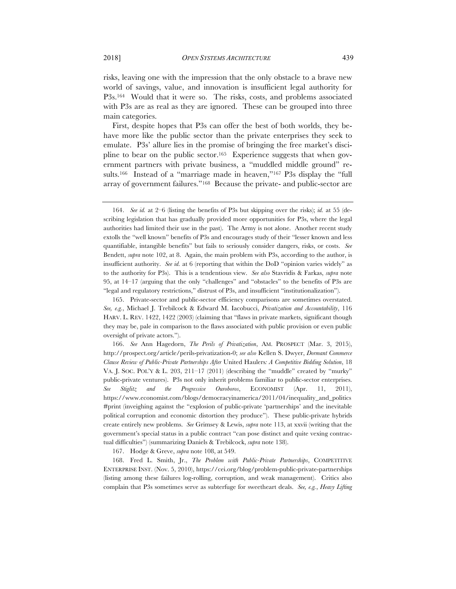risks, leaving one with the impression that the only obstacle to a brave new world of savings, value, and innovation is insufficient legal authority for P3s.164 Would that it were so. The risks, costs, and problems associated with P3s are as real as they are ignored. These can be grouped into three main categories.

First, despite hopes that P3s can offer the best of both worlds, they behave more like the public sector than the private enterprises they seek to emulate. P3s' allure lies in the promise of bringing the free market's discipline to bear on the public sector.165 Experience suggests that when government partners with private business, a "muddled middle ground" results.<sup>166</sup> Instead of a "marriage made in heaven,"<sup>167</sup> P3s display the "full array of government failures."168 Because the private- and public-sector are

167. Hodge & Greve, *supra* note 108, at 549.

168. Fred L. Smith, Jr., *The Problem with Public-Private Partnerships*, COMPETITIVE ENTERPRISE INST. (Nov. 5, 2010), https://cei.org/blog/problem-public-private-partnerships (listing among these failures log-rolling, corruption, and weak management). Critics also complain that P3s sometimes serve as subterfuge for sweetheart deals. *See, e.g.*, *Heavy Lifting* 

<sup>164.</sup> *See id.* at 2–6 (listing the benefits of P3s but skipping over the risks); *id.* at 55 (describing legislation that has gradually provided more opportunities for P3s, where the legal authorities had limited their use in the past). The Army is not alone. Another recent study extolls the "well known" benefits of P3s and encourages study of their "lesser known and less quantifiable, intangible benefits" but fails to seriously consider dangers, risks, or costs. *See*  Bendett, *supra* note 102, at 8. Again, the main problem with P3s, according to the author, is insufficient authority. *See id.* at 6 (reporting that within the DoD "opinion varies widely" as to the authority for P3s). This is a tendentious view. *See also* Stavridis & Farkas, *supra* note 95, at 14–17 (arguing that the only "challenges" and "obstacles" to the benefits of P3s are "legal and regulatory restrictions," distrust of P3s, and insufficient "institutionalization").

<sup>165.</sup> Private-sector and public-sector efficiency comparisons are sometimes overstated. *See, e.g.*, Michael J. Trebilcock & Edward M. Iacobucci, *Privatization and Accountability*, 116 HARV. L. REV. 1422, 1422 (2003) (claiming that "flaws in private markets, significant though they may be, pale in comparison to the flaws associated with public provision or even public oversight of private actors.").

<sup>166.</sup> *See* Ann Hagedorn, *The Perils of Privatization*, AM. PROSPECT (Mar. 3, 2015), http://prospect.org/article/perils-privatization-0; *see also* Kellen S. Dwyer, *Dormant Commerce Clause Review of Public-Private Partnerships After* United Haulers*: A Competitive Bidding Solution*, 18 VA. J. SOC. POL'Y & L. 203,  $211-17$  (2011) (describing the "muddle" created by "murky" public-private ventures). P3s not only inherit problems familiar to public-sector enterprises. *See Stiglitz and the Progressive Ouroboros*, ECONOMIST (Apr. 11, 2011), https://www.economist.com/blogs/democracyinamerica/2011/04/inequality\_and\_politics #print (inveighing against the "explosion of public-private 'partnerships' and the inevitable political corruption and economic distortion they produce"). These public-private hybrids create entirely new problems. *See* Grimsey & Lewis, *supra* note 113, at xxvii (writing that the government's special status in a public contract "can pose distinct and quite vexing contractual difficulties") (summarizing Daniels & Trebilcock, *supra* note 138).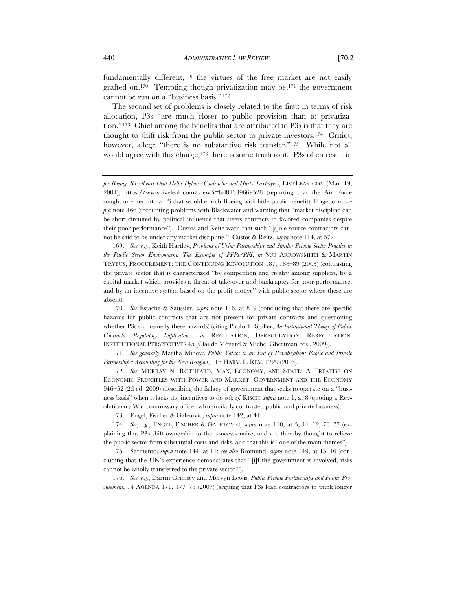fundamentally different,<sup>169</sup> the virtues of the free market are not easily grafted on.<sup>170</sup> Tempting though privatization may be, <sup>171</sup> the government cannot be run on a "business basis."172

The second set of problems is closely related to the first: in terms of risk allocation, P3s "are much closer to public provision than to privatization."173 Chief among the benefits that are attributed to P3s is that they are thought to shift risk from the public sector to private investors.174 Critics, however, allege "there is no substantive risk transfer."<sup>175</sup> While not all would agree with this charge,<sup>176</sup> there is some truth to it. P3s often result in

169. *See, e.g.*, Keith Hartley, *Problems of Using Partnerships and Similar Private Sector Practice in the Public Sector Environment: The Example of PPPs/PFI*, *in* SUE ARROWSMITH & MARTIN TRYBUS, PROCUREMENT: THE CONTINUING REVOLUTION 187, 188–89 (2003) (contrasting the private sector that is characterized "by competition and rivalry among suppliers, by a capital market which provides a threat of take-over and bankruptcy for poor performance, and by an incentive system based on the profit motive" with public sector where these are absent).

170. *See* Estache & Saussier, *supra* note 116, at 8–9 (concluding that there are specific hazards for public contracts that are not present for private contracts and questioning whether P3s can remedy these hazards) (citing Pablo T. Spiller, *An Institutional Theory of Public Contracts: Regulatory Implications*, *in* REGULATION, DEREGULATION, REREGULATION: INSTITUTIONAL PERSPECTIVES 45 (Claude Ménard & Michel Ghertman eds., 2009)).

171. *See generally* Martha Minow, *Public Values in an Era of Privatization: Public and Private Partnerships: Accounting for the New Religion*, 116 HARV. L. REV. 1229 (2003).

172. *See* MURRAY N. ROTHBARD, MAN, ECONOMY, AND STATE: A TREATISE ON ECONOMIC PRINCIPLES WITH POWER AND MARKET: GOVERNMENT AND THE ECONOMY 946–52 (2d ed. 2009) (describing the fallacy of government that seeks to operate on a "business basis" when it lacks the incentives to do so); *cf.* RISCH, *supra* note 1, at 8 (quoting a Revolutionary War commissary officer who similarly contrasted public and private business).

173. Engel, Fischer & Galetovic, *supra* note 142, at 41.

174. *See, e.g.*, ENGEL, FISCHER & GALETOVIC, *supra* note 118, at 3, 11–12, 76–77 (explaining that P3s shift ownership to the concessionaire, and are thereby thought to relieve the public sector from substantial costs and risks, and that this is "one of the main themes").

175. Sarmento, *supra* note 144, at 11; *see also* Bromund, *supra* note 149, at 15–16 (concluding that the UK's experience demonstrates that "[i]f the government is involved, risks cannot be wholly transferred to the private sector.").

176. *See, e.g.*, Darrin Grimsey and Mervyn Lewis, *Public Private Partnerships and Public Procurement*, 14 AGENDA 171, 177–78 (2007) (arguing that P3s lead contractors to think longer

*for Boeing: Sweetheart Deal Helps Defense Contractor and Hurts Taxpayers*, LIVELEAK.COM (Mar. 19, 2001), https://www.liveleak.com/view?i=bd81339669528 (reporting that the Air Force sought to enter into a P3 that would enrich Boeing with little public benefit); Hagedorn, *supra* note 166 (recounting problems with Blackwater and warning that "market discipline can be short-circuited by political influence that steers contracts to favored companies despite their poor performance"). Custos and Reitz warn that such "[s]ole-source contractors cannot be said to be under any market discipline." Custos & Reitz, *supra* note 114, at 572.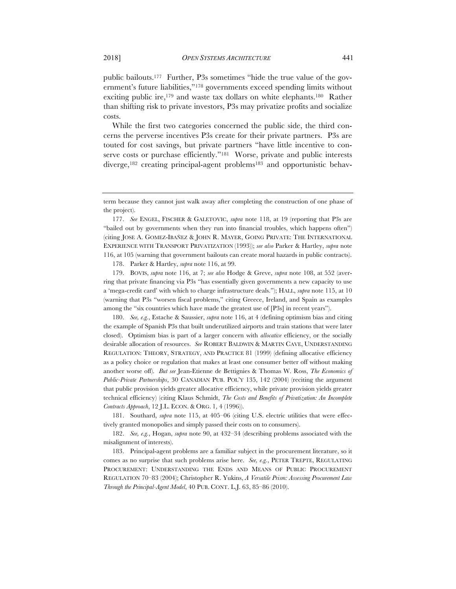public bailouts.177 Further, P3s sometimes "hide the true value of the government's future liabilities,"178 governments exceed spending limits without exciting public ire,179 and waste tax dollars on white elephants.180 Rather than shifting risk to private investors, P3s may privatize profits and socialize costs.

While the first two categories concerned the public side, the third concerns the perverse incentives P3s create for their private partners. P3s are touted for cost savings, but private partners "have little incentive to conserve costs or purchase efficiently."<sup>181</sup> Worse, private and public interests diverge,182 creating principal-agent problems183 and opportunistic behav-

177. *See* ENGEL, FISCHER & GALETOVIC, *supra* note 118, at 19 (reporting that P3s are "bailed out by governments when they run into financial troubles, which happens often") (citing JOSE A. GOMEZ-IBAÑEZ & JOHN R. MAYER, GOING PRIVATE: THE INTERNATIONAL EXPERIENCE WITH TRANSPORT PRIVATIZATION (1993)); *see also* Parker & Hartley, *supra* note 116, at 105 (warning that government bailouts can create moral hazards in public contracts).

178. Parker & Hartley, *supra* note 116, at 99.

179. BOVIS, *supra* note 116, at 7; *see also* Hodge & Greve, *supra* note 108, at 552 (averring that private financing via P3s "has essentially given governments a new capacity to use a 'mega-credit card' with which to charge infrastructure deals."); HALL, *supra* note 115, at 10 (warning that P3s "worsen fiscal problems," citing Greece, Ireland, and Spain as examples among the "six countries which have made the greatest use of [P3s] in recent years").

180. *See, e.g.*, Estache & Saussier, *supra* note 116, at 4 (defining optimism bias and citing the example of Spanish P3s that built underutilized airports and train stations that were later closed). Optimism bias is part of a larger concern with *allocative* efficiency, or the socially desirable allocation of resources. *See* ROBERT BALDWIN & MARTIN CAVE, UNDERSTANDING REGULATION: THEORY, STRATEGY, AND PRACTICE 81 (1999) (defining allocative efficiency as a policy choice or regulation that makes at least one consumer better off without making another worse off). *But see* Jean-Etienne de Bettignies & Thomas W. Ross, *The Economics of Public-Private Partnerships*, 30 CANADIAN PUB. POL'Y 135, 142 (2004) (reciting the argument that public provision yields greater allocative efficiency, while private provision yields greater technical efficiency) (citing Klaus Schmidt, *The Costs and Benefits of Privatization: An Incomplete Contracts Approach*, 12 J.L. ECON. & ORG. 1, 4 (1996)).

181. Southard, *supra* note 115, at 405–06 (citing U.S. electric utilities that were effectively granted monopolies and simply passed their costs on to consumers).

182. *See, e.g.*, Hogan, *supra* note 90, at 432–34 (describing problems associated with the misalignment of interests).

183. Principal-agent problems are a familiar subject in the procurement literature, so it comes as no surprise that such problems arise here. *See, e.g.*, PETER TREPTE, REGULATING PROCUREMENT: UNDERSTANDING THE ENDS AND MEANS OF PUBLIC PROCUREMENT REGULATION 70–83 (2004); Christopher R. Yukins, *A Versatile Prism: Assessing Procurement Law Through the Principal-Agent Model*, 40 PUB. CONT. L.J. 63, 85–86 (2010).

term because they cannot just walk away after completing the construction of one phase of the project).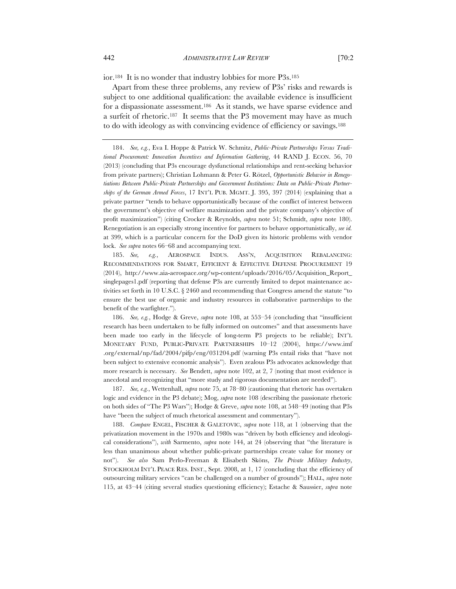ior.184 It is no wonder that industry lobbies for more P3s.185

Apart from these three problems, any review of P3s' risks and rewards is subject to one additional qualification: the available evidence is insufficient for a dispassionate assessment.186 As it stands, we have sparse evidence and a surfeit of rhetoric.187 It seems that the P3 movement may have as much to do with ideology as with convincing evidence of efficiency or savings.188

184. *See, e.g.*, Eva I. Hoppe & Patrick W. Schmitz, *Public-Private Partnerships Versus Traditional Procurement: Innovation Incentives and Information Gathering*, 44 RAND J. ECON. 56, 70 (2013) (concluding that P3s encourage dysfunctional relationships and rent-seeking behavior from private partners); Christian Lohmann & Peter G. Rötzel, *Opportunistic Behavior in Renegotiations Between Public-Private Partnerships and Government Institutions: Data on Public-Private Partnerships of the German Armed Forces*, 17 INT'L PUB. MGMT. J. 395, 397 (2014) (explaining that a private partner "tends to behave opportunistically because of the conflict of interest between the government's objective of welfare maximization and the private company's objective of profit maximization") (citing Crocker & Reynolds, *supra* note 51; Schmidt, *supra* note 180). Renegotiation is an especially strong incentive for partners to behave opportunistically, *see id.*  at 399, which is a particular concern for the DoD given its historic problems with vendor lock. *See supra* notes 66–68 and accompanying text.

185. *See, e.g.*, AEROSPACE INDUS. ASS'N, ACQUISITION REBALANCING: RECOMMENDATIONS FOR SMART, EFFICIENT & EFFECTIVE DEFENSE PROCUREMENT 19 (2014), http://www.aia-aerospace.org/wp-content/uploads/2016/05/Acquisition\_Report\_ singlepages1.pdf (reporting that defense P3s are currently limited to depot maintenance activities set forth in 10 U.S.C. § 2460 and recommending that Congress amend the statute "to ensure the best use of organic and industry resources in collaborative partnerships to the benefit of the warfighter.").

186. *See, e.g.*, Hodge & Greve, *supra* note 108, at 553–54 (concluding that "insufficient research has been undertaken to be fully informed on outcomes" and that assessments have been made too early in the lifecycle of long-term P3 projects to be reliable); INT'L MONETARY FUND, PUBLIC-PRIVATE PARTNERSHIPS 10–12 (2004), https://www.imf .org/external/np/fad/2004/pifp/eng/031204.pdf (warning P3s entail risks that "have not been subject to extensive economic analysis"). Even zealous P3s advocates acknowledge that more research is necessary. *See* Bendett, *supra* note 102, at 2, 7 (noting that most evidence is anecdotal and recognizing that "more study and rigorous documentation are needed").

187. *See, e.g.*, Wettenhall, *supra* note 75, at 78–80 (cautioning that rhetoric has overtaken logic and evidence in the P3 debate); Mog, *supra* note 108 (describing the passionate rhetoric on both sides of "The P3 Wars"); Hodge & Greve, *supra* note 108, at 548–49 (noting that P3s have "been the subject of much rhetorical assessment and commentary").

188. *Compare* ENGEL, FISCHER & GALETOVIC, *supra* note 118, at 1 (observing that the privatization movement in the 1970s and 1980s was "driven by both efficiency and ideological considerations"), *with* Sarmento, *supra* note 144, at 24 (observing that "the literature is less than unanimous about whether public-private partnerships create value for money or not"). *See also* Sam Perlo-Freeman & Elisabeth Sköns, *The Private Military Industry*, STOCKHOLM INT'L PEACE RES. INST., Sept. 2008, at 1, 17 (concluding that the efficiency of outsourcing military services "can be challenged on a number of grounds"); HALL, *supra* note 115, at 43–44 (citing several studies questioning efficiency); Estache & Saussier, *supra* note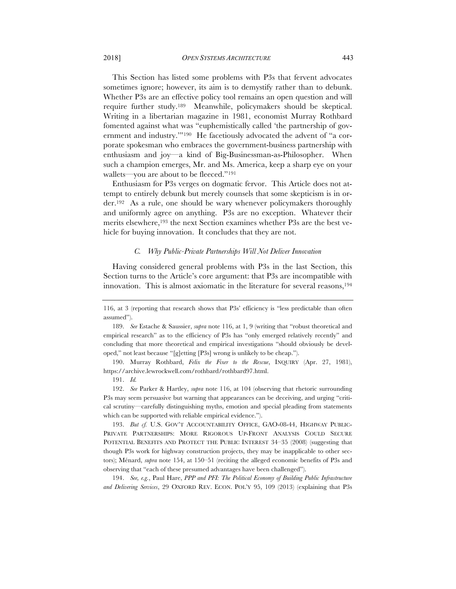This Section has listed some problems with P3s that fervent advocates sometimes ignore; however, its aim is to demystify rather than to debunk. Whether P3s are an effective policy tool remains an open question and will require further study.189 Meanwhile, policymakers should be skeptical. Writing in a libertarian magazine in 1981, economist Murray Rothbard fomented against what was "euphemistically called 'the partnership of government and industry.'"190 He facetiously advocated the advent of "a corporate spokesman who embraces the government-business partnership with enthusiasm and joy—a kind of Big-Businessman-as-Philosopher. When such a champion emerges, Mr. and Ms. America, keep a sharp eye on your wallets—you are about to be fleeced."191

Enthusiasm for P3s verges on dogmatic fervor. This Article does not attempt to entirely debunk but merely counsels that some skepticism is in order.192 As a rule, one should be wary whenever policymakers thoroughly and uniformly agree on anything. P3s are no exception. Whatever their merits elsewhere,193 the next Section examines whether P3s are the best vehicle for buying innovation. It concludes that they are not.

## *C. Why Public-Private Partnerships Will Not Deliver Innovation*

Having considered general problems with P3s in the last Section, this Section turns to the Article's core argument: that P3s are incompatible with innovation. This is almost axiomatic in the literature for several reasons,  $194$ 

190. Murray Rothbard, *Felix the Fixer to the Rescue*, INQUIRY (Apr. 27, 1981), https://archive.lewrockwell.com/rothbard/rothbard97.html.

191. *Id.*

192. *See* Parker & Hartley, *supra* note 116, at 104 (observing that rhetoric surrounding P3s may seem persuasive but warning that appearances can be deceiving, and urging "critical scrutiny—carefully distinguishing myths, emotion and special pleading from statements which can be supported with reliable empirical evidence.").

193. *But cf. U.S. GOV'T ACCOUNTABILITY OFFICE, GAO-08-44, HIGHWAY PUBLIC-*PRIVATE PARTNERSHIPS: MORE RIGOROUS UP-FRONT ANALYSIS COULD SECURE POTENTIAL BENEFITS AND PROTECT THE PUBLIC INTEREST 34–35 (2008) (suggesting that though P3s work for highway construction projects, they may be inapplicable to other sectors); Ménard, *supra* note 154, at 150–51 (reciting the alleged economic benefits of P3s and observing that "each of these presumed advantages have been challenged").

194. *See, e.g.*, Paul Hare, *PPP and PFI: The Political Economy of Building Public Infrastructure and Delivering Services*, 29 OXFORD REV. ECON. POL'Y 95, 109 (2013) (explaining that P3s

<sup>116,</sup> at 3 (reporting that research shows that P3s' efficiency is "less predictable than often assumed").

<sup>189.</sup> *See* Estache & Saussier, *supra* note 116, at 1, 9 (writing that "robust theoretical and empirical research" as to the efficiency of P3s has "only emerged relatively recently" and concluding that more theoretical and empirical investigations "should obviously be developed," not least because "[g]etting [P3s] wrong is unlikely to be cheap.").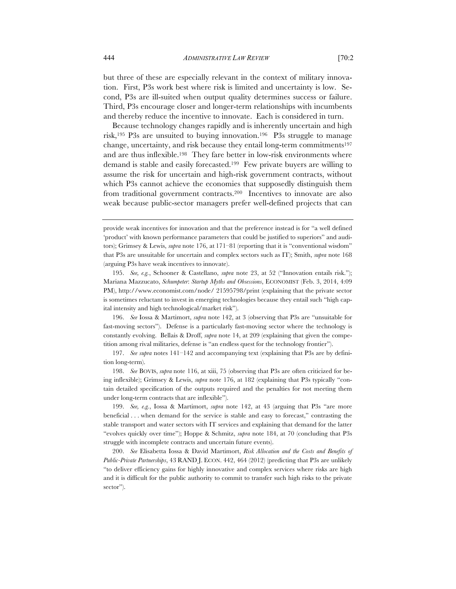but three of these are especially relevant in the context of military innovation. First, P3s work best where risk is limited and uncertainty is low. Second, P3s are ill-suited when output quality determines success or failure. Third, P3s encourage closer and longer-term relationships with incumbents and thereby reduce the incentive to innovate. Each is considered in turn.

Because technology changes rapidly and is inherently uncertain and high risk,195 P3s are unsuited to buying innovation.196 P3s struggle to manage change, uncertainty, and risk because they entail long-term commitments197 and are thus inflexible.198 They fare better in low-risk environments where demand is stable and easily forecasted.199 Few private buyers are willing to assume the risk for uncertain and high-risk government contracts, without which P3s cannot achieve the economies that supposedly distinguish them from traditional government contracts.200 Incentives to innovate are also weak because public-sector managers prefer well-defined projects that can

196. *See* Iossa & Martimort, *supra* note 142, at 3 (observing that P3s are "unsuitable for fast-moving sectors"). Defense is a particularly fast-moving sector where the technology is constantly evolving. Bellais & Droff, *supra* note 14, at 209 (explaining that given the competition among rival militaries, defense is "an endless quest for the technology frontier").

197. *See supra* notes 141–142 and accompanying text (explaining that P3s are by definition long-term).

198. *See* BOVIS, *supra* note 116, at xiii, 75 (observing that P3s are often criticized for being inflexible); Grimsey & Lewis, *supra* note 176, at 182 (explaining that P3s typically "contain detailed specification of the outputs required and the penalties for not meeting them under long-term contracts that are inflexible").

199. *See, e.g.*, Iossa & Martimort, *supra* note 142, at 43 (arguing that P3s "are more beneficial . . . when demand for the service is stable and easy to forecast," contrasting the stable transport and water sectors with IT services and explaining that demand for the latter "evolves quickly over time"); Hoppe & Schmitz, *supra* note 184, at 70 (concluding that P3s struggle with incomplete contracts and uncertain future events).

200. *See* Elisabetta Iossa & David Martimort, *Risk Allocation and the Costs and Benefits of Public-Private Partnerships*, 43 RAND J. ECON. 442, 464 (2012) (predicting that P3s are unlikely "to deliver efficiency gains for highly innovative and complex services where risks are high and it is difficult for the public authority to commit to transfer such high risks to the private sector").

provide weak incentives for innovation and that the preference instead is for "a well defined 'product' with known performance parameters that could be justified to superiors" and auditors); Grimsey & Lewis, *supra* note 176, at 171–81 (reporting that it is "conventional wisdom" that P3s are unsuitable for uncertain and complex sectors such as IT); Smith, *supra* note 168 (arguing P3s have weak incentives to innovate).

<sup>195.</sup> *See, e.g.*, Schooner & Castellano, *supra* note 23, at 52 ("Innovation entails risk."); Mariana Mazzucato, *Schumpeter*: *Startup Myths and Obsessions*, ECONOMIST (Feb. 3, 2014, 4:09 PM), http://www.economist.com/node/ 21595798/print (explaining that the private sector is sometimes reluctant to invest in emerging technologies because they entail such "high capital intensity and high technological/market risk").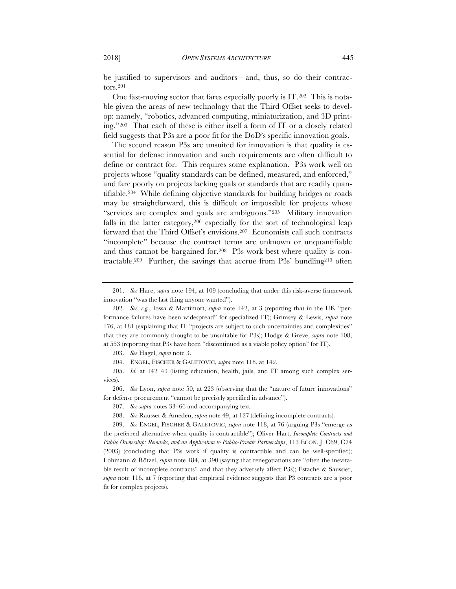be justified to supervisors and auditors—and, thus, so do their contractors.201

One fast-moving sector that fares especially poorly is IT.202 This is notable given the areas of new technology that the Third Offset seeks to develop: namely, "robotics, advanced computing, miniaturization, and 3D printing."203 That each of these is either itself a form of IT or a closely related field suggests that P3s are a poor fit for the DoD's specific innovation goals.

The second reason P3s are unsuited for innovation is that quality is essential for defense innovation and such requirements are often difficult to define or contract for. This requires some explanation. P3s work well on projects whose "quality standards can be defined, measured, and enforced," and fare poorly on projects lacking goals or standards that are readily quantifiable.204 While defining objective standards for building bridges or roads may be straightforward, this is difficult or impossible for projects whose "services are complex and goals are ambiguous."205 Military innovation falls in the latter category,206 especially for the sort of technological leap forward that the Third Offset's envisions.207 Economists call such contracts "incomplete" because the contract terms are unknown or unquantifiable and thus cannot be bargained for.208 P3s work best where quality is contractable.209 Further, the savings that accrue from P3s' bundling210 often

<sup>201.</sup> *See* Hare, *supra* note 194, at 109 (concluding that under this risk-averse framework innovation "was the last thing anyone wanted").

<sup>202.</sup> *See, e.g.*, Iossa & Martimort, *supra* note 142, at 3 (reporting that in the UK "performance failures have been widespread" for specialized IT); Grimsey & Lewis, *supra* note 176, at 181 (explaining that IT "projects are subject to such uncertainties and complexities" that they are commonly thought to be unsuitable for P3s); Hodge & Greve, *supra* note 108, at 553 (reporting that P3s have been "discontinued as a viable policy option" for IT).

<sup>203.</sup> *See* Hagel, *supra* note 3.

<sup>204.</sup> ENGEL, FISCHER & GALETOVIC, *supra* note 118, at 142.

<sup>205.</sup> *Id.* at 142–43 (listing education, health, jails, and IT among such complex services).

<sup>206.</sup> *See* Lyon, *supra* note 50, at 223 (observing that the "nature of future innovations" for defense procurement "cannot be precisely specified in advance").

<sup>207.</sup> *See supra* notes 33–66 and accompanying text.

<sup>208.</sup> *See* Rausser & Ameden, *supra* note 49, at 127 (defining incomplete contracts).

<sup>209.</sup> *See* ENGEL, FISCHER & GALETOVIC, *supra* note 118, at 76 (arguing P3s "emerge as the preferred alternative when quality is contractible"); Oliver Hart, *Incomplete Contracts and Public Ownership: Remarks, and an Application to Public-Private Partnerships*, 113 ECON. J. C69, C74 (2003) (concluding that P3s work if quality is contractible and can be well-specified); Lohmann & Rötzel, *supra* note 184, at 390 (saying that renegotiations are "often the inevitable result of incomplete contracts" and that they adversely affect P3s); Estache & Saussier, *supra* note 116, at 7 (reporting that empirical evidence suggests that P3 contracts are a poor fit for complex projects).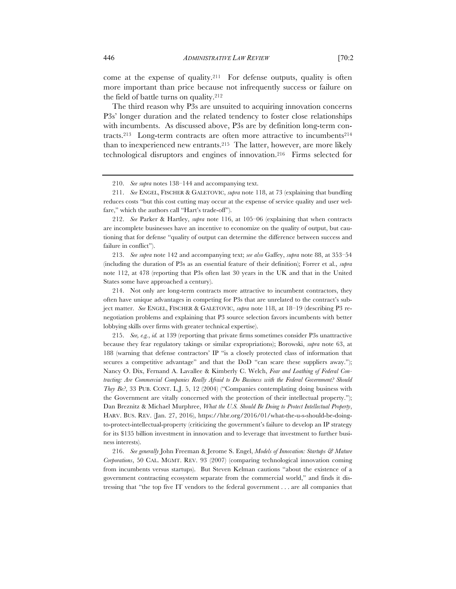come at the expense of quality.<sup>211</sup> For defense outputs, quality is often more important than price because not infrequently success or failure on the field of battle turns on quality.212

The third reason why P3s are unsuited to acquiring innovation concerns P3s' longer duration and the related tendency to foster close relationships with incumbents. As discussed above, P3s are by definition long-term contracts.<sup>213</sup> Long-term contracts are often more attractive to incumbents<sup>214</sup> than to inexperienced new entrants.215 The latter, however, are more likely technological disruptors and engines of innovation.216 Firms selected for

213. *See supra* note 142 and accompanying text; *see also* Gaffey, *supra* note 88, at 353–54 (including the duration of P3s as an essential feature of their definition); Forrer et al., *supra*  note 112, at 478 (reporting that P3s often last 30 years in the UK and that in the United States some have approached a century).

214. Not only are long-term contracts more attractive to incumbent contractors, they often have unique advantages in competing for P3s that are unrelated to the contract's subject matter. *See* ENGEL, FISCHER & GALETOVIC, *supra* note 118, at 18–19 (describing P3 renegotiation problems and explaining that P3 source selection favors incumbents with better lobbying skills over firms with greater technical expertise).

215. *See, e.g.*, *id.* at 139 (reporting that private firms sometimes consider P3s unattractive because they fear regulatory takings or similar expropriations); Borowski, *supra* note 63, at 188 (warning that defense contractors' IP "is a closely protected class of information that secures a competitive advantage" and that the DoD "can scare these suppliers away."); Nancy O. Dix, Fernand A. Lavallee & Kimberly C. Welch, *Fear and Loathing of Federal Contracting: Are Commercial Companies Really Afraid to Do Business with the Federal Government? Should They Be?*, 33 PUB. CONT. L.J. 5, 12 (2004) ("Companies contemplating doing business with the Government are vitally concerned with the protection of their intellectual property."); Dan Breznitz & Michael Murphree, *What the U.S. Should Be Doing to Protect Intellectual Property*, HARV. BUS. REV. (Jan. 27, 2016), https://hbr.org/2016/01/what-the-u-s-should-be-doingto-protect-intellectual-property (criticizing the government's failure to develop an IP strategy for its \$135 billion investment in innovation and to leverage that investment to further business interests).

216. *See generally* John Freeman & Jerome S. Engel, *Models of Innovation: Startups & Mature Corporations*, 50 CAL. MGMT. REV. 93 (2007) (comparing technological innovation coming from incumbents versus startups). But Steven Kelman cautions "about the existence of a government contracting ecosystem separate from the commercial world," and finds it distressing that "the top five IT vendors to the federal government . . . are all companies that

<sup>210.</sup> *See supra* notes 138–144 and accompanying text.

<sup>211.</sup> *See* ENGEL, FISCHER & GALETOVIC, *supra* note 118, at 73 (explaining that bundling reduces costs "but this cost cutting may occur at the expense of service quality and user welfare," which the authors call "Hart's trade-off").

<sup>212.</sup> *See* Parker & Hartley, *supra* note 116, at 105–06 (explaining that when contracts are incomplete businesses have an incentive to economize on the quality of output, but cautioning that for defense "quality of output can determine the difference between success and failure in conflict").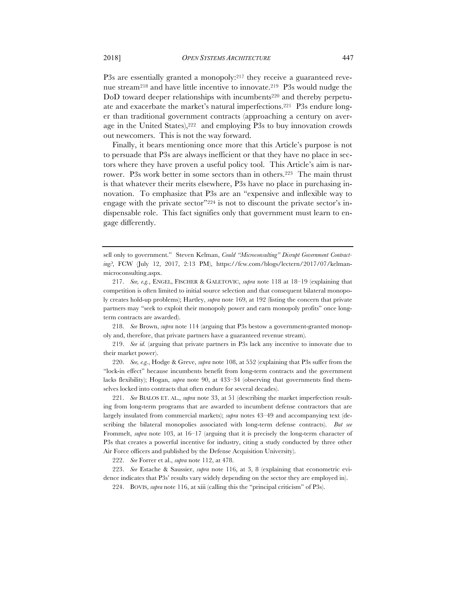P3s are essentially granted a monopoly:<sup>217</sup> they receive a guaranteed revenue stream218 and have little incentive to innovate.219 P3s would nudge the DoD toward deeper relationships with incumbents<sup>220</sup> and thereby perpetuate and exacerbate the market's natural imperfections.221 P3s endure longer than traditional government contracts (approaching a century on average in the United States),222 and employing P3s to buy innovation crowds out newcomers. This is not the way forward.

Finally, it bears mentioning once more that this Article's purpose is not to persuade that P3s are always inefficient or that they have no place in sectors where they have proven a useful policy tool. This Article's aim is narrower. P3s work better in some sectors than in others.223 The main thrust is that whatever their merits elsewhere, P3s have no place in purchasing innovation. To emphasize that P3s are an "expensive and inflexible way to engage with the private sector"224 is not to discount the private sector's indispensable role. This fact signifies only that government must learn to engage differently.

218. *See* Brown, *supra* note 114 (arguing that P3s bestow a government-granted monopoly and, therefore, that private partners have a guaranteed revenue stream).

219. *See id.* (arguing that private partners in P3s lack any incentive to innovate due to their market power).

220. *See, e.g.*, Hodge & Greve, *supra* note 108, at 552 (explaining that P3s suffer from the "lock-in effect" because incumbents benefit from long-term contracts and the government lacks flexibility); Hogan, *supra* note 90, at 433–34 (observing that governments find themselves locked into contracts that often endure for several decades).

221. *See* BIALOS ET. AL., *supra* note 33, at 51 (describing the market imperfection resulting from long-term programs that are awarded to incumbent defense contractors that are largely insulated from commercial markets); *supra* notes 43–49 and accompanying text (describing the bilateral monopolies associated with long-term defense contracts). *But see*  Frommelt, *supra* note 103, at 16–17 (arguing that it is precisely the long-term character of P3s that creates a powerful incentive for industry, citing a study conducted by three other Air Force officers and published by the Defense Acquisition University).

222. *See* Forrer et al., *supra* note 112, at 478.

223. *See* Estache & Saussier, *supra* note 116, at 3, 8 (explaining that econometric evidence indicates that P3s' results vary widely depending on the sector they are employed in).

224. BOVIS, *supra* note 116, at xiii (calling this the "principal criticism" of P3s).

sell only to government." Steven Kelman, *Could "Microconsulting" Disrupt Government Contracting?*, FCW (July 12, 2017, 2:13 PM), https://fcw.com/blogs/lectern/2017/07/kelmanmicroconsulting.aspx.

<sup>217.</sup> *See, e.g.*, ENGEL, FISCHER & GALETOVIC, *supra* note 118 at 18–19 (explaining that competition is often limited to initial source selection and that consequent bilateral monopoly creates hold-up problems); Hartley, *supra* note 169, at 192 (listing the concern that private partners may "seek to exploit their monopoly power and earn monopoly profits" once longterm contracts are awarded).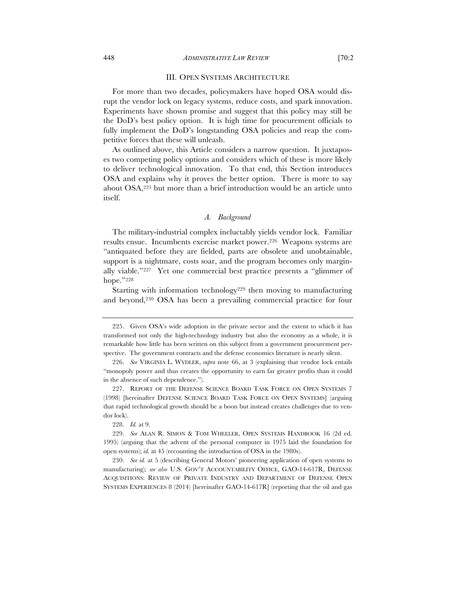# III. OPEN SYSTEMS ARCHITECTURE

For more than two decades, policymakers have hoped OSA would disrupt the vendor lock on legacy systems, reduce costs, and spark innovation. Experiments have shown promise and suggest that this policy may still be the DoD's best policy option. It is high time for procurement officials to fully implement the DoD's longstanding OSA policies and reap the competitive forces that these will unleash.

As outlined above, this Article considers a narrow question. It juxtaposes two competing policy options and considers which of these is more likely to deliver technological innovation. To that end, this Section introduces OSA and explains why it proves the better option. There is more to say about OSA,225 but more than a brief introduction would be an article unto itself.

### *A. Background*

The military-industrial complex ineluctably yields vendor lock. Familiar results ensue. Incumbents exercise market power.226 Weapons systems are "antiquated before they are fielded, parts are obsolete and unobtainable, support is a nightmare, costs soar, and the program becomes only marginally viable."227 Yet one commercial best practice presents a "glimmer of hope."228

Starting with information technology<sup>229</sup> then moving to manufacturing and beyond,230 OSA has been a prevailing commercial practice for four

228. *Id.* at 9.

<sup>225.</sup> Given OSA's wide adoption in the private sector and the extent to which it has transformed not only the high-technology industry but also the economy as a whole, it is remarkable how little has been written on this subject from a government procurement perspective. The government contracts and the defense economics literature is nearly silent.

<sup>226.</sup> *See* VIRGINIA L. WYDLER, *supra* note 66, at 3 (explaining that vendor lock entails "monopoly power and thus creates the opportunity to earn far greater profits than it could in the absence of such dependence.").

<sup>227.</sup> REPORT OF THE DEFENSE SCIENCE BOARD TASK FORCE ON OPEN SYSTEMS 7 (1998) [hereinafter DEFENSE SCIENCE BOARD TASK FORCE ON OPEN SYSTEMS] (arguing that rapid technological growth should be a boon but instead creates challenges due to vendor lock).

<sup>229.</sup> *See* ALAN R. SIMON & TOM WHEELER, OPEN SYSTEMS HANDBOOK 16 (2d ed. 1995) (arguing that the advent of the personal computer in 1975 laid the foundation for open systems); *id.* at 45 (recounting the introduction of OSA in the 1980s).

<sup>230.</sup> *See id.* at 5 (describing General Motors' pioneering application of open systems to manufacturing); *see also* U.S. GOV'T ACCOUNTABILITY OFFICE, GAO-14-617R, DEFENSE ACQUISITIONS: REVIEW OF PRIVATE INDUSTRY AND DEPARTMENT OF DEFENSE OPEN SYSTEMS EXPERIENCES 8 (2014) [hereinafter GAO-14-617R] (reporting that the oil and gas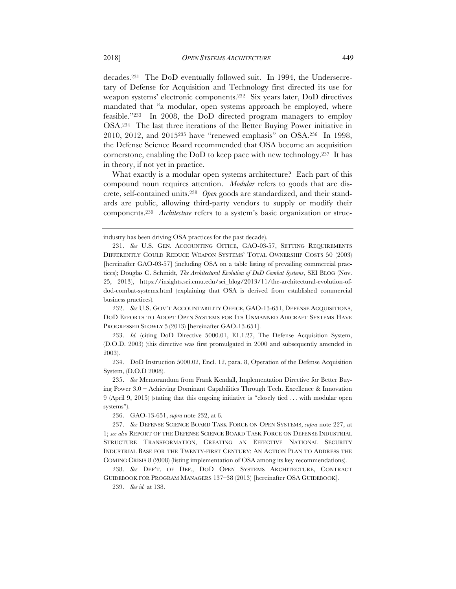decades.231 The DoD eventually followed suit. In 1994, the Undersecretary of Defense for Acquisition and Technology first directed its use for weapon systems' electronic components.232 Six years later, DoD directives mandated that "a modular, open systems approach be employed, where feasible."233 In 2008, the DoD directed program managers to employ OSA.234 The last three iterations of the Better Buying Power initiative in 2010, 2012, and 2015235 have "renewed emphasis" on OSA.236 In 1998, the Defense Science Board recommended that OSA become an acquisition cornerstone, enabling the DoD to keep pace with new technology.237 It has in theory, if not yet in practice.

What exactly is a modular open systems architecture? Each part of this compound noun requires attention. *Modular* refers to goods that are discrete, self-contained units.238 *Open* goods are standardized, and their standards are public, allowing third-party vendors to supply or modify their components.239 *Architecture* refers to a system's basic organization or struc-

236. GAO-13-651, *supra* note 232, at 6.

industry has been driving OSA practices for the past decade).

<sup>231.</sup> *See* U.S. GEN. ACCOUNTING OFFICE, GAO-03-57, SETTING REQUIREMENTS DIFFERENTLY COULD REDUCE WEAPON SYSTEMS' TOTAL OWNERSHIP COSTS 50 (2003) [hereinafter GAO-03-57] (including OSA on a table listing of prevailing commercial practices); Douglas C. Schmidt, *The Architectural Evolution of DoD Combat Systems*, SEI BLOG (Nov. 25, 2013), https://insights.sei.cmu.edu/sei\_blog/2013/11/the-architectural-evolution-ofdod-combat-systems.html (explaining that OSA is derived from established commercial business practices).

<sup>232.</sup> *See* U.S. GOV'T ACCOUNTABILITY OFFICE, GAO-13-651, DEFENSE ACQUISITIONS, DOD EFFORTS TO ADOPT OPEN SYSTEMS FOR ITS UNMANNED AIRCRAFT SYSTEMS HAVE PROGRESSED SLOWLY 5 (2013) [hereinafter GAO-13-651].

<sup>233.</sup> *Id.* (citing DoD Directive 5000.01, E1.1.27, The Defense Acquisition System, (D.O.D. 2003) (this directive was first promulgated in 2000 and subsequently amended in 2003).

<sup>234.</sup> DoD Instruction 5000.02, Encl. 12, para. 8, Operation of the Defense Acquisition System, (D.O.D 2008).

<sup>235.</sup> *See* Memorandum from Frank Kendall, Implementation Directive for Better Buying Power 3.0 – Achieving Dominant Capabilities Through Tech. Excellence & Innovation 9 (April 9, 2015) (stating that this ongoing initiative is "closely tied . . . with modular open systems").

<sup>237.</sup> *See* DEFENSE SCIENCE BOARD TASK FORCE ON OPEN SYSTEMS, *supra* note 227, at 1; *see also* REPORT OF THE DEFENSE SCIENCE BOARD TASK FORCE ON DEFENSE INDUSTRIAL STRUCTURE TRANSFORMATION, CREATING AN EFFECTIVE NATIONAL SECURITY INDUSTRIAL BASE FOR THE TWENTY-FIRST CENTURY: AN ACTION PLAN TO ADDRESS THE COMING CRISIS 8 (2008) (listing implementation of OSA among its key recommendations).

<sup>238.</sup> *See* DEP'T. OF DEF., DOD OPEN SYSTEMS ARCHITECTURE, CONTRACT GUIDEBOOK FOR PROGRAM MANAGERS 137–38 (2013) [hereinafter OSA GUIDEBOOK].

<sup>239.</sup> *See id.* at 138.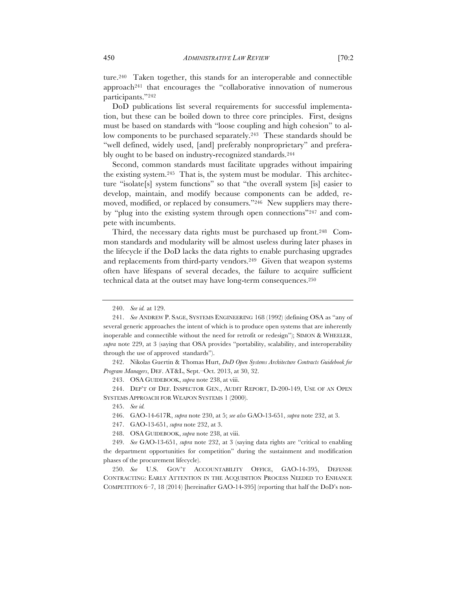ture.240 Taken together, this stands for an interoperable and connectible approach241 that encourages the "collaborative innovation of numerous participants."242

DoD publications list several requirements for successful implementation, but these can be boiled down to three core principles. First, designs must be based on standards with "loose coupling and high cohesion" to allow components to be purchased separately.<sup>243</sup> These standards should be "well defined, widely used, [and] preferably nonproprietary" and preferably ought to be based on industry-recognized standards.244

Second, common standards must facilitate upgrades without impairing the existing system.245 That is, the system must be modular. This architecture "isolate[s] system functions" so that "the overall system [is] easier to develop, maintain, and modify because components can be added, removed, modified, or replaced by consumers."246 New suppliers may thereby "plug into the existing system through open connections"247 and compete with incumbents.

Third, the necessary data rights must be purchased up front.<sup>248</sup> Common standards and modularity will be almost useless during later phases in the lifecycle if the DoD lacks the data rights to enable purchasing upgrades and replacements from third-party vendors.249 Given that weapon systems often have lifespans of several decades, the failure to acquire sufficient technical data at the outset may have long-term consequences.250

243. OSA GUIDEBOOK, *supra* note 238, at viii.

244. DEP'T OF DEF. INSPECTOR GEN., AUDIT REPORT, D-200-149, USE OF AN OPEN SYSTEMS APPROACH FOR WEAPON SYSTEMS 1 (2000).

<sup>240.</sup> *See id.* at 129.

<sup>241.</sup> *See* ANDREW P. SAGE, SYSTEMS ENGINEERING 168 (1992) (defining OSA as "any of several generic approaches the intent of which is to produce open systems that are inherently inoperable and connectible without the need for retrofit or redesign"); SIMON & WHEELER, *supra* note 229, at 3 (saying that OSA provides "portability, scalability, and interoperability through the use of approved standards").

<sup>242.</sup> Nikolas Guertin & Thomas Hurt, *DoD Open Systems Architecture Contracts Guidebook for Program Managers*, DEF. AT&L, Sept.–Oct. 2013, at 30, 32.

<sup>245.</sup> *See id.*

<sup>246.</sup> GAO-14-617R, *supra* note 230, at 5; *see also* GAO-13-651, *supra* note 232, at 3.

<sup>247.</sup> GAO-13-651, *supra* note 232, at 3.

<sup>248.</sup> OSA GUIDEBOOK, *supra* note 238, at viii.

<sup>249.</sup> *See* GAO-13-651, *supra* note 232, at 3 (saying data rights are "critical to enabling the department opportunities for competition" during the sustainment and modification phases of the procurement lifecycle).

<sup>250.</sup> *See* U.S. GOV'T ACCOUNTABILITY OFFICE, GAO-14-395, DEFENSE CONTRACTING: EARLY ATTENTION IN THE ACQUISITION PROCESS NEEDED TO ENHANCE COMPETITION 6–7, 18 (2014) [hereinafter GAO-14-395] (reporting that half the DoD's non-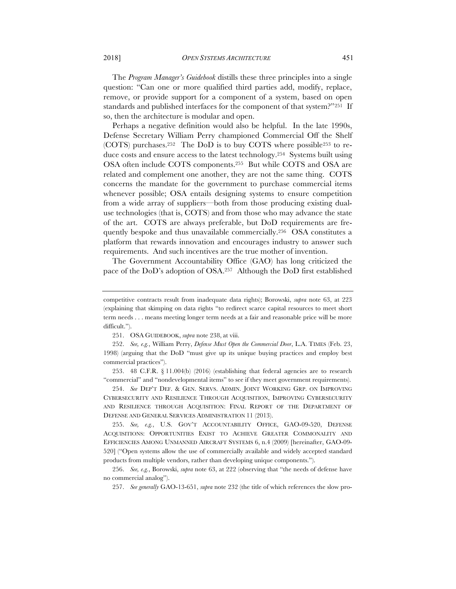The *Program Manager's Guidebook* distills these three principles into a single question: "Can one or more qualified third parties add, modify, replace, remove, or provide support for a component of a system, based on open standards and published interfaces for the component of that system?"251 If so, then the architecture is modular and open.

Perhaps a negative definition would also be helpful. In the late 1990s, Defense Secretary William Perry championed Commercial Off the Shelf (COTS) purchases.252 The DoD is to buy COTS where possible253 to reduce costs and ensure access to the latest technology.254 Systems built using OSA often include COTS components.255 But while COTS and OSA are related and complement one another, they are not the same thing. COTS concerns the mandate for the government to purchase commercial items whenever possible; OSA entails designing systems to ensure competition from a wide array of suppliers––both from those producing existing dualuse technologies (that is, COTS) and from those who may advance the state of the art. COTS are always preferable, but DoD requirements are frequently bespoke and thus unavailable commercially.256 OSA constitutes a platform that rewards innovation and encourages industry to answer such requirements. And such incentives are the true mother of invention.

The Government Accountability Office (GAO) has long criticized the pace of the DoD's adoption of OSA.257 Although the DoD first established

253. 48 C.F.R. § 11.004(b) (2016) (establishing that federal agencies are to research "commercial" and "nondevelopmental items" to see if they meet government requirements).

254. *See* DEP'T DEF. & GEN. SERVS. ADMIN. JOINT WORKING GRP. ON IMPROVING CYBERSECURITY AND RESILIENCE THROUGH ACQUISITION, IMPROVING CYBERSECURITY AND RESILIENCE THROUGH ACQUISITION: FINAL REPORT OF THE DEPARTMENT OF DEFENSE AND GENERAL SERVICES ADMINISTRATION 11 (2013).

255. *See, e.g.*, U.S. GOV'T ACCOUNTABILITY OFFICE, GAO-09-520, DEFENSE ACQUISITIONS: OPPORTUNITIES EXIST TO ACHIEVE GREATER COMMONALITY AND EFFICIENCIES AMONG UNMANNED AIRCRAFT SYSTEMS 6, n.4 (2009) [hereinafter, GAO-09- 520] ("Open systems allow the use of commercially available and widely accepted standard products from multiple vendors, rather than developing unique components.").

256. *See, e.g.*, Borowski, *supra* note 63, at 222 (observing that "the needs of defense have no commercial analog").

257. *See generally* GAO-13-651, *supra* note 232 (the title of which references the slow pro-

competitive contracts result from inadequate data rights); Borowski, *supra* note 63, at 223 (explaining that skimping on data rights "to redirect scarce capital resources to meet short term needs . . . means meeting longer term needs at a fair and reasonable price will be more difficult.").

<sup>251.</sup> OSA GUIDEBOOK, *supra* note 238, at viii.

<sup>252.</sup> *See, e.g.*, William Perry, *Defense Must Open the Commercial Door*, L.A. TIMES (Feb. 23, 1998) (arguing that the DoD "must give up its unique buying practices and employ best commercial practices").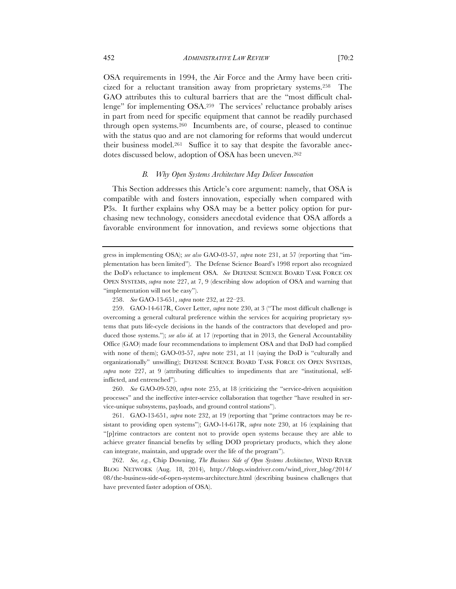OSA requirements in 1994, the Air Force and the Army have been criticized for a reluctant transition away from proprietary systems.258 The GAO attributes this to cultural barriers that are the "most difficult challenge" for implementing OSA.259 The services' reluctance probably arises in part from need for specific equipment that cannot be readily purchased through open systems.260 Incumbents are, of course, pleased to continue with the status quo and are not clamoring for reforms that would undercut their business model.261 Suffice it to say that despite the favorable anecdotes discussed below, adoption of OSA has been uneven.262

# *B. Why Open Systems Architecture May Deliver Innovation*

This Section addresses this Article's core argument: namely, that OSA is compatible with and fosters innovation, especially when compared with P3s. It further explains why OSA may be a better policy option for purchasing new technology, considers anecdotal evidence that OSA affords a favorable environment for innovation, and reviews some objections that

259. GAO-14-617R, Cover Letter, *supra* note 230, at 3 ("The most difficult challenge is overcoming a general cultural preference within the services for acquiring proprietary systems that puts life-cycle decisions in the hands of the contractors that developed and produced those systems."); *see also id.* at 17 (reporting that in 2013, the General Accountability Office (GAO) made four recommendations to implement OSA and that DoD had complied with none of them); GAO-03-57, *supra* note 231, at 11 (saying the DoD is "culturally and organizationally" unwilling); DEFENSE SCIENCE BOARD TASK FORCE ON OPEN SYSTEMS, *supra* note 227, at 9 (attributing difficulties to impediments that are "institutional, selfinflicted, and entrenched").

260. *See* GAO-09-520, *supra* note 255, at 18 (criticizing the "service-driven acquisition processes" and the ineffective inter-service collaboration that together "have resulted in service-unique subsystems, payloads, and ground control stations").

261. GAO-13-651, *supra* note 232, at 19 (reporting that "prime contractors may be resistant to providing open systems"); GAO-14-617R, *supra* note 230, at 16 (explaining that "[p]rime contractors are content not to provide open systems because they are able to achieve greater financial benefits by selling DOD proprietary products, which they alone can integrate, maintain, and upgrade over the life of the program").

262. *See, e.g.*, Chip Downing, *The Business Side of Open Systems Architecture*, WIND RIVER BLOG NETWORK (Aug. 18, 2014), http://blogs.windriver.com/wind\_river\_blog/2014/ 08/the-business-side-of-open-systems-architecture.html (describing business challenges that have prevented faster adoption of OSA).

gress in implementing OSA); *see also* GAO-03-57, *supra* note 231, at 57 (reporting that "implementation has been limited"). The Defense Science Board's 1998 report also recognized the DoD's reluctance to implement OSA. *See* DEFENSE SCIENCE BOARD TASK FORCE ON OPEN SYSTEMS, *supra* note 227, at 7, 9 (describing slow adoption of OSA and warning that "implementation will not be easy").

<sup>258.</sup> *See* GAO-13-651, *supra* note 232, at 22–23.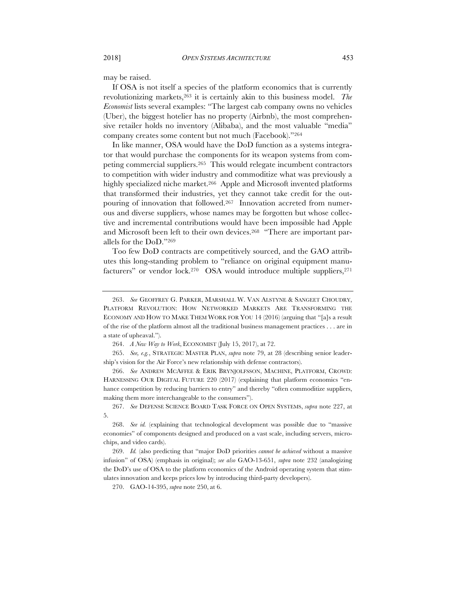may be raised.

If OSA is not itself a species of the platform economics that is currently revolutionizing markets,263 it is certainly akin to this business model. *The Economist* lists several examples: "The largest cab company owns no vehicles (Uber), the biggest hotelier has no property (Airbnb), the most comprehensive retailer holds no inventory (Alibaba), and the most valuable "media" company creates some content but not much (Facebook)."264

In like manner, OSA would have the DoD function as a systems integrator that would purchase the components for its weapon systems from competing commercial suppliers.265 This would relegate incumbent contractors to competition with wider industry and commoditize what was previously a highly specialized niche market.266 Apple and Microsoft invented platforms that transformed their industries, yet they cannot take credit for the outpouring of innovation that followed.267 Innovation accreted from numerous and diverse suppliers, whose names may be forgotten but whose collective and incremental contributions would have been impossible had Apple and Microsoft been left to their own devices.<sup>268</sup> "There are important parallels for the DoD."269

Too few DoD contracts are competitively sourced, and the GAO attributes this long-standing problem to "reliance on original equipment manufacturers" or vendor lock.<sup>270</sup> OSA would introduce multiple suppliers,<sup>271</sup>

<sup>263.</sup> *See* GEOFFREY G. PARKER, MARSHALL W. VAN ALSTYNE & SANGEET CHOUDRY, PLATFORM REVOLUTION: HOW NETWORKED MARKETS ARE TRANSFORMING THE ECONOMY AND HOW TO MAKE THEM WORK FOR YOU 14 (2016) (arguing that "[a]s a result of the rise of the platform almost all the traditional business management practices . . . are in a state of upheaval.").

<sup>264.</sup> *A New Way to Work*, ECONOMIST (July 15, 2017), at 72.

<sup>265.</sup> *See, e.g.*, STRATEGIC MASTER PLAN, *supra* note 79, at 28 (describing senior leadership's vision for the Air Force's new relationship with defense contractors).

<sup>266.</sup> *See* ANDREW MCAFFEE & ERIK BRYNJOLFSSON, MACHINE, PLATFORM, CROWD: HARNESSING OUR DIGITAL FUTURE 220 (2017) (explaining that platform economics "enhance competition by reducing barriers to entry" and thereby "often commoditize suppliers, making them more interchangeable to the consumers").

<sup>267.</sup> *See* DEFENSE SCIENCE BOARD TASK FORCE ON OPEN SYSTEMS, *supra* note 227, at 5.

<sup>268.</sup> *See id.* (explaining that technological development was possible due to "massive economies" of components designed and produced on a vast scale, including servers, microchips, and video cards).

<sup>269.</sup> *Id.* (also predicting that "major DoD priorities *cannot be achieved* without a massive infusion" of OSA) (emphasis in original); *see also* GAO-13-651, *supra* note 232 (analogizing the DoD's use of OSA to the platform economics of the Android operating system that stimulates innovation and keeps prices low by introducing third-party developers).

<sup>270.</sup> GAO-14-395, *supra* note 250, at 6.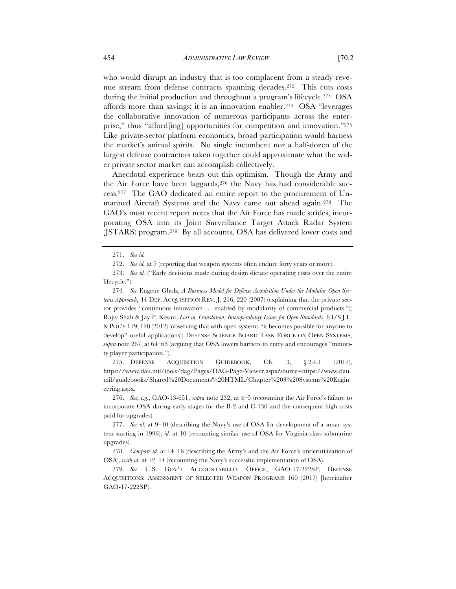who would disrupt an industry that is too complacent from a steady revenue stream from defense contracts spanning decades.272 This cuts costs during the initial production and throughout a program's lifecycle.273 OSA affords more than savings; it is an innovation enabler.274 OSA "leverages the collaborative innovation of numerous participants across the enterprise," thus "afford[ing] opportunities for competition and innovation."275 Like private-sector platform economics, broad participation would harness the market's animal spirits. No single incumbent nor a half-dozen of the largest defense contractors taken together could approximate what the wider private sector market can accomplish collectively.

Anecdotal experience bears out this optimism. Though the Army and the Air Force have been laggards, 276 the Navy has had considerable success.277 The GAO dedicated an entire report to the procurement of Unmanned Aircraft Systems and the Navy came out ahead again.278 The GAO's most recent report notes that the Air Force has made strides, incorporating OSA into its Joint Surveillance Target Attack Radar System (JSTARS) program.279 By all accounts, OSA has delivered lower costs and

274*. See* Eugene Gholz, *A Business Model for Defense Acquisition Under the Modular Open Systems Approach*, 44 DEF. ACQUISITION REV. J. 216, 220 (2007) (explaining that the private sector provides "continuous innovation . . . enabled by modularity of commercial products."); Rajiv Shah & Jay P. Kesan, *Lost in Translation: Interoperability Issues for Open Standards*, 8 I/S J.L. & POL'Y 119, 120 (2012) (observing that with open systems "it becomes possible for anyone to develop" useful applications); DEFENSE SCIENCE BOARD TASK FORCE ON OPEN SYSTEMS, *supra* note 267, at 64–65 (arguing that OSA lowers barriers to entry and encourages "minority player participation.").

275. DEFENSE ACQUISITION GUIDEBOOK, Ch. 3, § 2.4.1 (2017), https://www.dau.mil/tools/dag/Pages/DAG-Page-Viewer.aspx?source=https://www.dau. mil/guidebooks/Shared%20Documents%20HTML/Chapter%203%20Systems%20Engin eering.aspx.

276. *See, e.g.*, GAO-13-651, *supra* note 232, at 4–5 (recounting the Air Force's failure to incorporate OSA during early stages for the B-2 and C-130 and the consequent high costs paid for upgrades).

<sup>271.</sup> *See id.*

<sup>272.</sup> *See id.* at 7 (reporting that weapon systems often endure forty years or more).

<sup>273.</sup> *See id.* ("Early decisions made during design dictate operating costs over the entire lifecycle.").

<sup>277.</sup> *See id.* at 9–10 (describing the Navy's use of OSA for development of a sonar system starting in 1996); *id.* at 10 (recounting similar use of OSA for Virginia-class submarine upgrades).

<sup>278.</sup> *Compare id.* at 14–16 (describing the Army's and the Air Force's underutilization of OSA), *with id.* at 12–14 (recounting the Navy's successful implementation of OSA).

<sup>279.</sup> *See* U.S. GOV'T ACCOUNTABILITY OFFICE, GAO-17-222SP, DEFENSE ACQUISITIONS: ASSESSMENT OF SELECTED WEAPON PROGRAMS 160 (2017) [hereinafter GAO-17-222SP].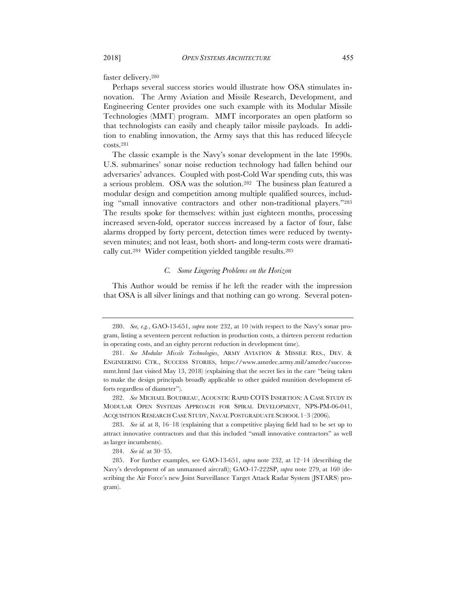faster delivery.280

Perhaps several success stories would illustrate how OSA stimulates innovation. The Army Aviation and Missile Research, Development, and Engineering Center provides one such example with its Modular Missile Technologies (MMT) program. MMT incorporates an open platform so that technologists can easily and cheaply tailor missile payloads. In addition to enabling innovation, the Army says that this has reduced lifecycle costs.281

The classic example is the Navy's sonar development in the late 1990s. U.S. submarines' sonar noise reduction technology had fallen behind our adversaries' advances. Coupled with post-Cold War spending cuts, this was a serious problem. OSA was the solution.282 The business plan featured a modular design and competition among multiple qualified sources, including "small innovative contractors and other non-traditional players."283 The results spoke for themselves: within just eighteen months, processing increased seven-fold, operator success increased by a factor of four, false alarms dropped by forty percent, detection times were reduced by twentyseven minutes; and not least, both short- and long-term costs were dramatically cut.284 Wider competition yielded tangible results.285

# *C. Some Lingering Problems on the Horizon*

This Author would be remiss if he left the reader with the impression that OSA is all silver linings and that nothing can go wrong. Several poten-

<sup>280.</sup> *See, e.g.*, GAO-13-651, *supra* note 232, at 10 (with respect to the Navy's sonar program, listing a seventeen percent reduction in production costs, a thirteen percent reduction in operating costs, and an eighty percent reduction in development time).

<sup>281.</sup> *See Modular Missile Technologies*, ARMY AVIATION & MISSILE RES., DEV. & ENGINEERING CTR., SUCCESS STORIES, https://www.amrdec.army.mil/amrdec/successmmt.html (last visited May 13, 2018) (explaining that the secret lies in the care "being taken to make the design principals broadly applicable to other guided munition development efforts regardless of diameter").

<sup>282.</sup> *See* MICHAEL BOUDREAU, ACOUSTIC RAPID COTS INSERTION: A CASE STUDY IN MODULAR OPEN SYSTEMS APPROACH FOR SPIRAL DEVELOPMENT, NPS-PM-06-041, ACQUISITION RESEARCH CASE STUDY, NAVAL POSTGRADUATE SCHOOL 1–3 (2006).

<sup>283.</sup> *See id.* at 8, 16–18 (explaining that a competitive playing field had to be set up to attract innovative contractors and that this included "small innovative contractors" as well as larger incumbents).

<sup>284.</sup> *See id.* at 30–35.

<sup>285.</sup> For further examples, see GAO-13-651, *supra* note 232, at 12–14 (describing the Navy's development of an unmanned aircraft); GAO-17-222SP, *supra* note 279, at 160 (describing the Air Force's new Joint Surveillance Target Attack Radar System (JSTARS) program).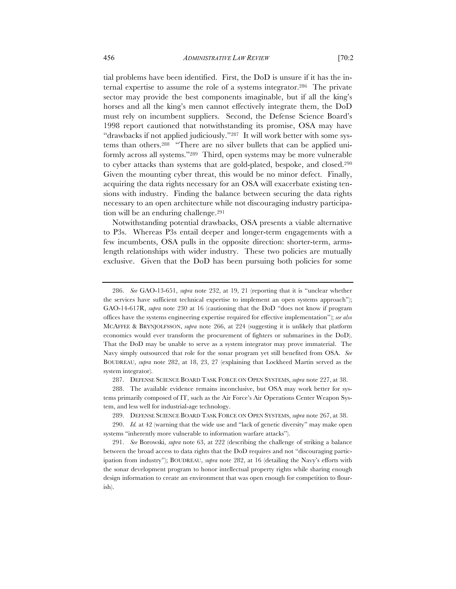tial problems have been identified. First, the DoD is unsure if it has the internal expertise to assume the role of a systems integrator.286 The private sector may provide the best components imaginable, but if all the king's horses and all the king's men cannot effectively integrate them, the DoD must rely on incumbent suppliers. Second, the Defense Science Board's 1998 report cautioned that notwithstanding its promise, OSA may have "drawbacks if not applied judiciously."287 It will work better with some systems than others.288 "There are no silver bullets that can be applied uniformly across all systems."289 Third, open systems may be more vulnerable to cyber attacks than systems that are gold-plated, bespoke, and closed.290 Given the mounting cyber threat, this would be no minor defect. Finally, acquiring the data rights necessary for an OSA will exacerbate existing tensions with industry. Finding the balance between securing the data rights necessary to an open architecture while not discouraging industry participation will be an enduring challenge.291

Notwithstanding potential drawbacks, OSA presents a viable alternative to P3s. Whereas P3s entail deeper and longer-term engagements with a few incumbents, OSA pulls in the opposite direction: shorter-term, armslength relationships with wider industry. These two policies are mutually exclusive. Given that the DoD has been pursuing both policies for some

<sup>286.</sup> *See* GAO-13-651, *supra* note 232, at 19, 21 (reporting that it is "unclear whether the services have sufficient technical expertise to implement an open systems approach"); GAO-14-617R, *supra* note 230 at 16 (cautioning that the DoD "does not know if program offices have the systems engineering expertise required for effective implementation"); *see also* MCAFFEE & BRYNJOLFSSON, *supra* note 266, at 224 (suggesting it is unlikely that platform economics would ever transform the procurement of fighters or submarines in the DoD). That the DoD may be unable to serve as a system integrator may prove immaterial. The Navy simply outsourced that role for the sonar program yet still benefited from OSA. *See*  BOUDREAU, *supra* note 282, at 18, 23, 27 (explaining that Lockheed Martin served as the system integrator).

<sup>287.</sup> DEFENSE SCIENCE BOARD TASK FORCE ON OPEN SYSTEMS, *supra* note 227, at 38.

<sup>288.</sup> The available evidence remains inconclusive, but OSA may work better for systems primarily composed of IT, such as the Air Force's Air Operations Center Weapon System, and less well for industrial-age technology.

<sup>289.</sup> DEFENSE SCIENCE BOARD TASK FORCE ON OPEN SYSTEMS, *supra* note 267, at 38.

<sup>290.</sup> *Id.* at 42 (warning that the wide use and "lack of genetic diversity" may make open systems "inherently more vulnerable to information warfare attacks").

<sup>291.</sup> *See* Borowski, *supra* note 63, at 222 (describing the challenge of striking a balance between the broad access to data rights that the DoD requires and not "discouraging participation from industry"); BOUDREAU, *supra* note 282, at 16 (detailing the Navy's efforts with the sonar development program to honor intellectual property rights while sharing enough design information to create an environment that was open enough for competition to flourish).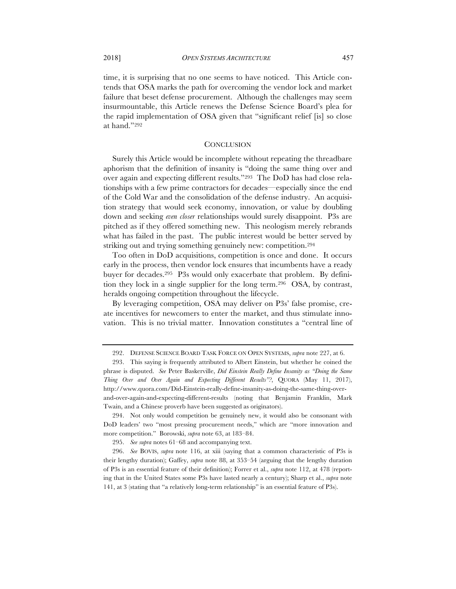time, it is surprising that no one seems to have noticed. This Article contends that OSA marks the path for overcoming the vendor lock and market failure that beset defense procurement. Although the challenges may seem insurmountable, this Article renews the Defense Science Board's plea for the rapid implementation of OSA given that "significant relief [is] so close at hand."292

# **CONCLUSION**

Surely this Article would be incomplete without repeating the threadbare aphorism that the definition of insanity is "doing the same thing over and over again and expecting different results."293 The DoD has had close relationships with a few prime contractors for decades—especially since the end of the Cold War and the consolidation of the defense industry. An acquisition strategy that would seek economy, innovation, or value by doubling down and seeking *even closer* relationships would surely disappoint. P3s are pitched as if they offered something new. This neologism merely rebrands what has failed in the past. The public interest would be better served by striking out and trying something genuinely new: competition.294

Too often in DoD acquisitions, competition is once and done. It occurs early in the process, then vendor lock ensures that incumbents have a ready buyer for decades.295 P3s would only exacerbate that problem. By definition they lock in a single supplier for the long term.<sup>296</sup> OSA, by contrast, heralds ongoing competition throughout the lifecycle.

By leveraging competition, OSA may deliver on P3s' false promise, create incentives for newcomers to enter the market, and thus stimulate innovation. This is no trivial matter. Innovation constitutes a "central line of

<sup>292.</sup> DEFENSE SCIENCE BOARD TASK FORCE ON OPEN SYSTEMS, *supra* note 227, at 6.

<sup>293.</sup> This saying is frequently attributed to Albert Einstein, but whether he coined the phrase is disputed. *See* Peter Baskerville, *Did Einstein Really Define Insanity as "Doing the Same Thing Over and Over Again and Expecting Different Results"?*, QUORA (May 11, 2017), http://www.quora.com/Did-Einstein-really-define-insanity-as-doing-the-same-thing-overand-over-again-and-expecting-different-results (noting that Benjamin Franklin, Mark Twain, and a Chinese proverb have been suggested as originators).

<sup>294.</sup> Not only would competition be genuinely new, it would also be consonant with DoD leaders' two "most pressing procurement needs," which are "more innovation and more competition." Borowski, *supra* note 63, at 183–84.

<sup>295.</sup> *See supra* notes 61–68 and accompanying text.

<sup>296.</sup> *See* BOVIS, *supra* note 116, at xiii (saying that a common characteristic of P3s is their lengthy duration); Gaffey, *supra* note 88, at 353–54 (arguing that the lengthy duration of P3s is an essential feature of their definition); Forrer et al., *supra* note 112, at 478 (reporting that in the United States some P3s have lasted nearly a century); Sharp et al., *supra* note 141, at 3 (stating that "a relatively long-term relationship" is an essential feature of P3s).